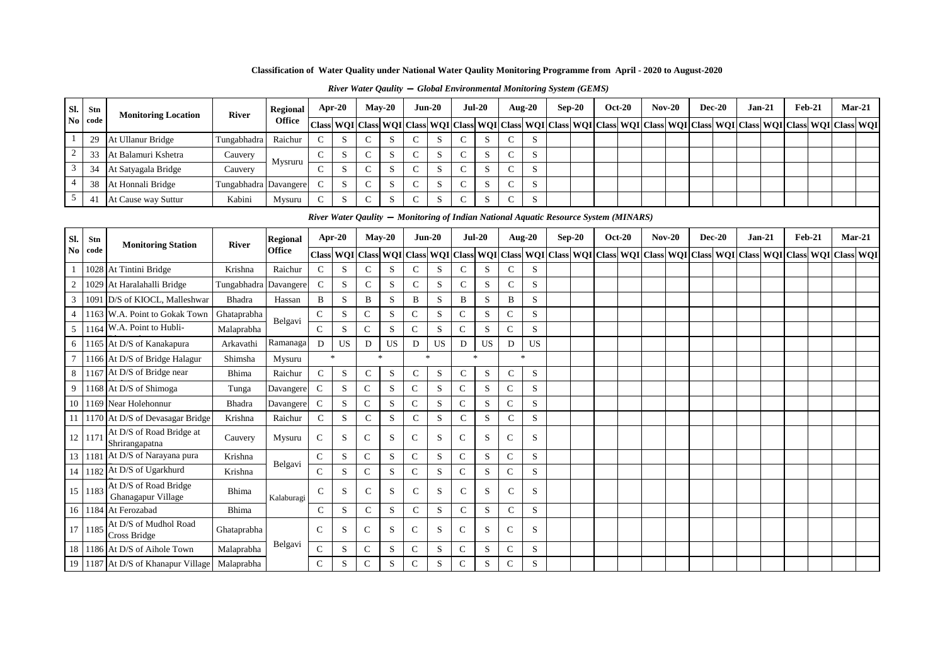| <b>River Water Qaulity – Global Environmental Monitoring System (GEMS)</b> |  |
|----------------------------------------------------------------------------|--|
|----------------------------------------------------------------------------|--|

| Sl.            | Stn    | <b>Monitoring Location</b>                  | <b>River</b> | Regional        |               | Apr- $20$    |                      | $Mav-20$      |                                   | $Jun-20$      |                  | <b>Jul-20</b> |               | Aug- $20$      | $Sep-20$                                                                             | <b>Oct-20</b> | $Nov-20$                                                                                      |          | <b>Dec-20</b> |          | Jan-21 | $Feb-21$      |  | $Mar-21$ |
|----------------|--------|---------------------------------------------|--------------|-----------------|---------------|--------------|----------------------|---------------|-----------------------------------|---------------|------------------|---------------|---------------|----------------|--------------------------------------------------------------------------------------|---------------|-----------------------------------------------------------------------------------------------|----------|---------------|----------|--------|---------------|--|----------|
| No             | code   |                                             |              | <b>Office</b>   | <b>Class</b>  |              |                      |               | <b>WQI</b> Class <b>WQI</b> Class |               | <b>WQI</b> Class |               |               |                | WQI Class WQI Class WQI Class                                                        |               | WQI Class WQI Class WQI Class WQI Class WQI Class WQI Class WQI                               |          |               |          |        |               |  |          |
|                | 29     | At Ullanur Bridge                           | Tungabhadra  | Raichur         | $\mathsf{C}$  | S            | C                    | S             | $\mathsf{C}$                      | S             | $\mathsf{C}$     | S             | $\mathsf{C}$  | S              |                                                                                      |               |                                                                                               |          |               |          |        |               |  |          |
| $\overline{2}$ | 33     | At Balamuri Kshetra                         | Cauvery      |                 | $\mathbf C$   | S            | $\overline{C}$       | S             | $\mathbf C$                       | S             | $\mathsf{C}$     | S             | $\mathbf C$   | S              |                                                                                      |               |                                                                                               |          |               |          |        |               |  |          |
| $\overline{3}$ | 34     | At Satyagala Bridge                         | Cauvery      | Mysruru         | $\mathsf{C}$  | S            | $\mathcal{C}$        | S             | $\mathbf C$                       | S             | $\mathsf{C}$     | S             | $\mathsf{C}$  | S              |                                                                                      |               |                                                                                               |          |               |          |        |               |  |          |
| $\overline{4}$ | 38     | At Honnali Bridge                           | Tungabhadra  | Davangere       | ${\bf C}$     | S            | $\mathsf{C}$         | S             | $\mathsf{C}$                      | S             | $\mathsf{C}$     | S             | $\mathsf{C}$  | S              |                                                                                      |               |                                                                                               |          |               |          |        |               |  |          |
| $\overline{5}$ | 41     | At Cause way Suttur                         | Kabini       | Mysuru          | $\mathsf{C}$  | S            | $\mathbf C$          | S             | $\mathbf C$                       | S             | $\mathsf{C}$     | S             | $\mathbf C$   | S              |                                                                                      |               |                                                                                               |          |               |          |        |               |  |          |
|                |        |                                             |              |                 |               |              |                      |               |                                   |               |                  |               |               |                | River Water Qaulity — Monitoring of Indian National Aquatic Resource System (MINARS) |               |                                                                                               |          |               |          |        |               |  |          |
| Sl.            | Stn    |                                             |              | <b>Regional</b> |               | Apr-20       |                      | $Mav-20$      |                                   | $Jun-20$      |                  | $Jul-20$      |               | <b>Aug-20</b>  | $Sep-20$                                                                             | <b>Oct-20</b> | <b>Nov-20</b>                                                                                 | $Dec-20$ |               | $Jan-21$ |        | <b>Feb-21</b> |  | $Mar-21$ |
| N <sub>0</sub> | code   | <b>Monitoring Station</b>                   | <b>River</b> | Office          | <b>Class</b>  |              | <b>WQI</b> Class WQI |               |                                   | Class WQI     | <b>Class</b>     |               |               |                |                                                                                      |               | WQI Class WQI Class WQI Class WQI Class WQI Class WQI Class WQI Class WQI Class WQI Class WQI |          |               |          |        |               |  |          |
|                |        | 1028 At Tintini Bridge                      | Krishna      | Raichur         | ${\bf C}$     | S            | $\mathsf{C}$         | S             | $\mathsf{C}$                      | S             | $\mathsf{C}$     | S             | $\mathsf{C}$  | S              |                                                                                      |               |                                                                                               |          |               |          |        |               |  |          |
| $\overline{2}$ |        | 1029 At Haralahalli Bridge                  | Tungabhadra  | Davangere       | $\mathsf{C}$  | S            | $\mathcal{C}$        | S             | $\mathbf C$                       | S             | $\mathsf{C}$     | S             | $\mathsf{C}$  | S              |                                                                                      |               |                                                                                               |          |               |          |        |               |  |          |
| $\overline{3}$ |        | 1091 D/S of KIOCL, Malleshwar               | Bhadra       | Hassan          | $\, {\bf B}$  | S            | B                    | S             | B                                 | S             | $\, {\bf B}$     | S             | B             | S              |                                                                                      |               |                                                                                               |          |               |          |        |               |  |          |
| $\overline{4}$ |        | 1163 W.A. Point to Gokak Town               | Ghataprabha  |                 | $\mathbf C$   | S            | $\mathbf C$          | S             | $\mathsf{C}$                      | S             | ${\bf C}$        | S             | $\mathsf{C}$  | S              |                                                                                      |               |                                                                                               |          |               |          |        |               |  |          |
| 5              |        | 1164 W.A. Point to Hubli-                   | Malaprabha   | Belgavi         | $\mathsf{C}$  | S            | $\mathsf{C}$         | S             | $\mathbf C$                       | S             | $\mathsf C$      | S             | $\mathbf C$   | S              |                                                                                      |               |                                                                                               |          |               |          |        |               |  |          |
| 6              |        | 1165 At D/S of Kanakapura                   | Arkavathi    | Ramanaga        | D             | <b>US</b>    | D                    | <b>US</b>     | D                                 | <b>US</b>     | D                | US            | D             | US             |                                                                                      |               |                                                                                               |          |               |          |        |               |  |          |
|                |        | 1166 At D/S of Bridge Halagur               | Shimsha      | Mysuru          |               | $\mathbf{k}$ |                      | $\mathcal{R}$ |                                   | $\mathcal{R}$ | $\star$          |               |               | $\frac{1}{20}$ |                                                                                      |               |                                                                                               |          |               |          |        |               |  |          |
| 8              |        | 1167 At D/S of Bridge near                  | Bhima        | Raichur         | $\mathbf C$   | S            | $\mathbf C$          | S             | $\mathbf C$                       | S             | $\mathsf{C}$     | S             | $\mathbf C$   | S              |                                                                                      |               |                                                                                               |          |               |          |        |               |  |          |
| 9              |        | 1168 At D/S of Shimoga                      | Tunga        | Davangere       | $\mathbf C$   | S            | $\mathbf C$          | S             | $\mathbf C$                       | S             | $\mathbf C$      | S             | $\mathbf C$   | S              |                                                                                      |               |                                                                                               |          |               |          |        |               |  |          |
| 10             |        | 1169 Near Holehonnur                        | Bhadra       | Davangere       | ${\bf C}$     | S            | $\mathbf C$          | S             | $\mathbf C$                       | S             | ${\bf C}$        | S             | $\mathbf C$   | S              |                                                                                      |               |                                                                                               |          |               |          |        |               |  |          |
| -11            |        | 1170 At D/S of Devasagar Bridge             | Krishna      | Raichur         | $\mathbf C$   | S            | $\mathbf C$          | $\mathbf S$   | $\mathbf C$                       | S             | $\mathbf C$      | S             | $\mathbf C$   | S              |                                                                                      |               |                                                                                               |          |               |          |        |               |  |          |
|                | 12 117 | At D/S of Road Bridge at<br>Shrirangapatna  | Cauvery      | Mysuru          | $\mathsf{C}$  | S            | $\mathcal{C}$        | S.            | $\mathcal{C}$                     | S             | $\mathbf C$      | S             | $\mathcal{C}$ | S              |                                                                                      |               |                                                                                               |          |               |          |        |               |  |          |
| 13             |        | 1181 At D/S of Narayana pura                | Krishna      | Belgavi         | $\mathbf C$   | S            | $\mathbf C$          | S             | $\mathbf C$                       | S             | $\mathbf C$      | S             | $\mathcal{C}$ | S              |                                                                                      |               |                                                                                               |          |               |          |        |               |  |          |
| 14             |        | 1182 At D/S of Ugarkhurd                    | Krishna      |                 | $\mathbf C$   | S            | $\mathbf C$          | S             | $\mathbf C$                       | S             | $\mathbf C$      | S             | $\mathsf{C}$  | S              |                                                                                      |               |                                                                                               |          |               |          |        |               |  |          |
| 15             | 1183   | At D/S of Road Bridge<br>Ghanagapur Village | Bhima        | Kalaburagi      | $\mathcal{C}$ | S            | C                    | S             | $\mathsf{C}$                      | S             | $\mathsf{C}$     | S             | $\mathcal{C}$ | S              |                                                                                      |               |                                                                                               |          |               |          |        |               |  |          |
|                |        | 16   1184   At Ferozabad                    | Bhima        |                 | ${\bf C}$     | S            | C                    | S             | $\mathbf C$                       | S             | ${\bf C}$        | S             | $\mathsf{C}$  | ${\bf S}$      |                                                                                      |               |                                                                                               |          |               |          |        |               |  |          |
| 17             | 1185   | At D/S of Mudhol Road<br>Cross Bridge       | Ghataprabha  |                 | $\mathcal{C}$ | S            | $\mathsf{C}$         | S             | $\mathsf{C}$                      | S             | $\mathbf C$      | S             | $\mathsf{C}$  | S              |                                                                                      |               |                                                                                               |          |               |          |        |               |  |          |
| 18             |        | 1186 At D/S of Aihole Town                  | Malaprabha   | Belgavi         | $\mathbf C$   | S            | $\mathsf{C}$         | S             | C                                 | S             | $\mathsf{C}$     | S             | $\mathsf{C}$  | S              |                                                                                      |               |                                                                                               |          |               |          |        |               |  |          |
|                |        | 19 1187 At D/S of Khanapur Village          | Malaprabha   |                 | $\mathbf C$   | S            | $\mathsf{C}$         | S             | $\mathsf C$                       | S             | $\mathbf C$      | S             | $\mathsf{C}$  | S              |                                                                                      |               |                                                                                               |          |               |          |        |               |  |          |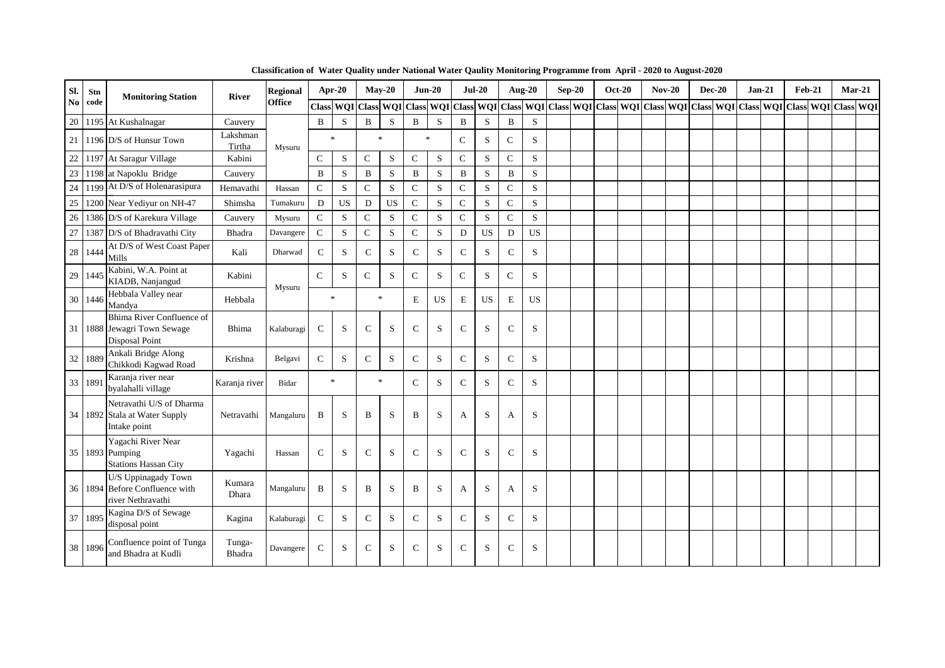| Sl.    | Stn     | <b>Monitoring Station</b>                                                      | <b>River</b>       | <b>Regional</b> | Apr-20       |           |              | $May-20$  | $Jun-20$                  |             |              | $Jul-20$    |                | <b>Aug-20</b> | $Sep-20$ | <b>Oct-20</b> | $Nov-20$ | $Dec-20$ | $Jan-21$                                                                                                | $Feb-21$ | $Mar-21$ |  |
|--------|---------|--------------------------------------------------------------------------------|--------------------|-----------------|--------------|-----------|--------------|-----------|---------------------------|-------------|--------------|-------------|----------------|---------------|----------|---------------|----------|----------|---------------------------------------------------------------------------------------------------------|----------|----------|--|
| No     | code    |                                                                                |                    | <b>Office</b>   |              |           |              |           | Class WQI Class WQI Class |             |              |             |                |               |          |               |          |          | WQI Class WQI Class WQI Class WQI Class WQI Class WQI Class WQI Class WQI Class WQI Class WQI Class WQI |          |          |  |
| 20     |         | 1195 At Kushalnagar                                                            | Cauvery            |                 | $\, {\bf B}$ | S         | $\bf{B}$     | S.        | $\mathbf B$               | S           | B            | S           | $\overline{B}$ | S             |          |               |          |          |                                                                                                         |          |          |  |
| 21     |         | 1196 D/S of Hunsur Town                                                        | Lakshman<br>Tirtha | Mysuru          |              | $\ast$    |              | $\ast$    | $\ast$                    |             | $\mathsf C$  | S           | $\mathsf{C}$   | S             |          |               |          |          |                                                                                                         |          |          |  |
| 22     |         | 1197 At Saragur Village                                                        | Kabini             |                 | $\mathsf{C}$ | S         | $\mathsf{C}$ | S         | $\mathsf{C}$              | S           | $\mathsf{C}$ | S           | $\mathcal{C}$  | S             |          |               |          |          |                                                                                                         |          |          |  |
| 23     |         | 1198 at Napoklu Bridge                                                         | Cauvery            |                 | $\, {\bf B}$ | S         | $\, {\bf B}$ | ${\bf S}$ | $\, {\bf B}$              | S           | $\, {\bf B}$ | S           | $\mathbf B$    | S             |          |               |          |          |                                                                                                         |          |          |  |
| 24     |         | 1199 At D/S of Holenarasipura                                                  | Hemavathi          | Hassan          | $\mathsf C$  | ${\bf S}$ | $\mathbf C$  | ${\bf S}$ | $\mathbf C$               | $\mathbf S$ | $\mathsf C$  | S           | $\mathbf C$    | ${\bf S}$     |          |               |          |          |                                                                                                         |          |          |  |
| $25\,$ |         | 1200 Near Yediyur on NH-47                                                     | Shimsha            | Tumakuru        | D            | <b>US</b> | D            | <b>US</b> | $\mathsf C$               | S           | $\mathsf{C}$ | S           | $\mathcal{C}$  | S             |          |               |          |          |                                                                                                         |          |          |  |
| 26     |         | 1386 D/S of Karekura Village                                                   | Cauvery            | Mysuru          | $\mathsf{C}$ | S         | $\mathbf C$  | S         | $\mathsf C$               | S           | $\mathsf{C}$ | S           | $\mathcal{C}$  | S             |          |               |          |          |                                                                                                         |          |          |  |
| 27     |         | 1387 D/S of Bhadravathi City                                                   | Bhadra             | Davangere       | $\mathsf{C}$ | ${\bf S}$ | ${\bf C}$    | S         | ${\bf C}$                 | S           | $\mathbf D$  | US          | D              | <b>US</b>     |          |               |          |          |                                                                                                         |          |          |  |
| 28     | 1444    | At D/S of West Coast Paper<br><b>Mills</b>                                     | Kali               | Dharwad         | $\mathbf C$  | S         | $\mathbf C$  | S.        | $\mathsf{C}$              | S           | $\mathsf{C}$ | S           | $\mathcal{C}$  | S             |          |               |          |          |                                                                                                         |          |          |  |
| 29     | 1445    | Kabini, W.A. Point at<br>KIADB, Nanjangud                                      | Kabini             |                 | $\mathsf{C}$ | S         | $\mathbf C$  | S         | $\mathsf{C}$              | S           | $\mathsf{C}$ | S           | $\mathbf C$    | S             |          |               |          |          |                                                                                                         |          |          |  |
| 30     | 1446    | Hebbala Valley near<br>Mandya                                                  | Hebbala            | Mysuru          |              | $\ast$    |              | $\ast$    | E                         | <b>US</b>   | $\mathbf E$  | <b>US</b>   | E              | <b>US</b>     |          |               |          |          |                                                                                                         |          |          |  |
| 31     |         | Bhima River Confluence of<br>1888 Jewagri Town Sewage<br><b>Disposal Point</b> | Bhima              | Kalaburagi      | $\mathsf{C}$ | S         | $\mathsf{C}$ | S         | $\mathsf{C}$              | S           | $\mathbf C$  | S           | $\mathsf{C}$   | S             |          |               |          |          |                                                                                                         |          |          |  |
| 32     | 1889    | Ankali Bridge Along<br>Chikkodi Kagwad Road                                    | Krishna            | Belgavi         | ${\bf C}$    | S         | $\mathsf{C}$ | S         | $\mathbf C$               | S           | $\mathsf{C}$ | S           | $\mathcal{C}$  | S             |          |               |          |          |                                                                                                         |          |          |  |
| 33     | 1891    | Karanja river near<br>byalahalli village                                       | Karanja river      | Bidar           |              | $\ast$    |              | $\ast$    | $\mathsf{C}$              | S           | $\mathsf{C}$ | S           | $\mathbf C$    | S             |          |               |          |          |                                                                                                         |          |          |  |
|        |         | Netravathi U/S of Dharma<br>34 1892 Stala at Water Supply<br>Intake point      | Netravathi         | Mangaluru       | B            | S         | B            | S         | B                         | S           | A            | S           | A              | S             |          |               |          |          |                                                                                                         |          |          |  |
|        |         | Yagachi River Near<br>35 1893 Pumping<br><b>Stations Hassan City</b>           | Yagachi            | Hassan          | $\mathsf{C}$ | S         | $\mathsf{C}$ | S         | $\mathsf{C}$              | S           | $\mathbf C$  | S           | $\mathcal{C}$  | S             |          |               |          |          |                                                                                                         |          |          |  |
|        |         | U/S Uppinagady Town<br>36 1894 Before Confluence with<br>river Nethravathi     | Kumara<br>Dhara    | Mangaluru       | $\, {\bf B}$ | S         | $\, {\bf B}$ | S         | B                         | S           | A            | S           | A              | S             |          |               |          |          |                                                                                                         |          |          |  |
|        | 37 1895 | Kagina D/S of Sewage<br>disposal point                                         | Kagina             | Kalaburagi      | $\mathsf{C}$ | S         | $\mathsf{C}$ | S.        | $\mathbf C$               | S           | $\mathbf C$  | S           | $\mathcal{C}$  | S             |          |               |          |          |                                                                                                         |          |          |  |
| 38     | 1896    | Confluence point of Tunga<br>and Bhadra at Kudli                               | Tunga-<br>Bhadra   | Davangere       | $\mathsf{C}$ | S         | $\mathsf{C}$ | S         | $\mathsf{C}$              | S           | $\mathbf C$  | $\mathbf S$ | $\mathsf{C}$   | S             |          |               |          |          |                                                                                                         |          |          |  |

**Classification of Water Quality under National Water Qaulity Monitoring Programme from April - 2020 to August-2020**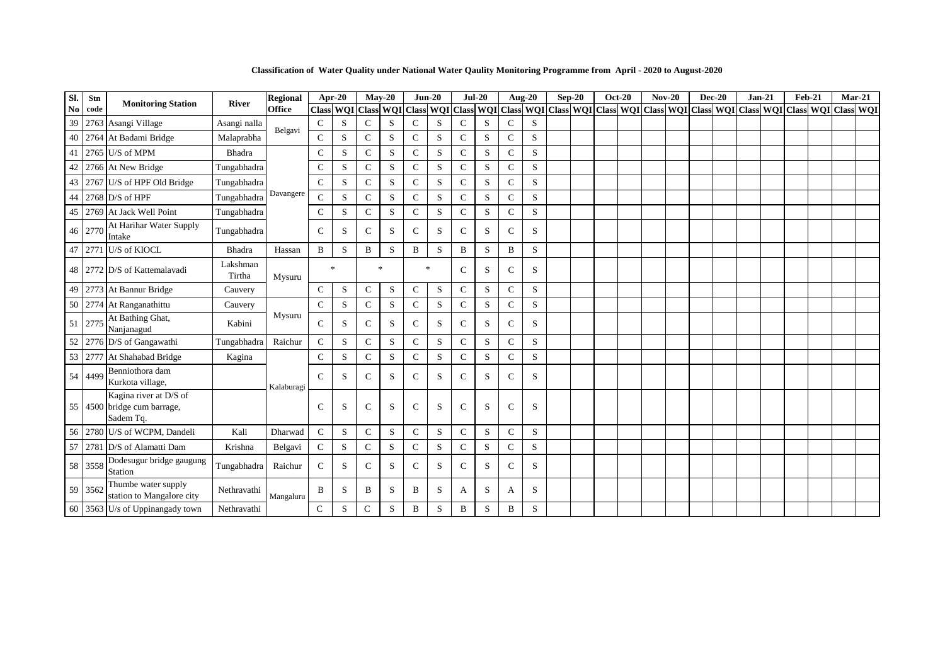**Classification of Water Quality under National Water Qaulity Monitoring Programme from April - 2020 to August-2020**

| Sl.            | Stn     | <b>Monitoring Station</b>                                          | <b>River</b>       | <b>Regional</b> | Apr-20        |   |               | $Mav-20$     | $Jun-20$                                                                                                                                                                                                                       |   |               | $Jul-20$ |               | <b>Aug-20</b> | $Sep-20$ | <b>Oct-20</b> | $Nov-20$ | <b>Dec-20</b> | $Jan-21$ | <b>Feb-21</b> | $Mar-21$ |  |
|----------------|---------|--------------------------------------------------------------------|--------------------|-----------------|---------------|---|---------------|--------------|--------------------------------------------------------------------------------------------------------------------------------------------------------------------------------------------------------------------------------|---|---------------|----------|---------------|---------------|----------|---------------|----------|---------------|----------|---------------|----------|--|
| $\mathbf{N_0}$ | code    |                                                                    |                    | <b>Office</b>   |               |   |               |              | Class WQI Class WQI Class WQI Class WQI Class WQI Class WQI Class WQI Class WQI Class WQI Class WQI Class WQI Class WQI Class WQI Class WQI Class WQI Class WQI Class WQI Class WQI Class WQI Class WQI Class WQI Class WQI Cl |   |               |          |               |               |          |               |          |               |          |               |          |  |
| 39             |         | 2763 Asangi Village                                                | Asangi nalla       | Belgavi         | $\mathsf{C}$  | S | $\mathbf C$   | S            | $\mathsf{C}$                                                                                                                                                                                                                   | S | $\mathsf{C}$  | S        | $\mathsf{C}$  | S             |          |               |          |               |          |               |          |  |
| 40             |         | 2764 At Badami Bridge                                              | Malaprabha         |                 | $\mathsf{C}$  | S | $\mathsf{C}$  | S            | $\mathsf{C}$                                                                                                                                                                                                                   | S | $\mathsf{C}$  | S        | $\mathbf C$   | ${\bf S}$     |          |               |          |               |          |               |          |  |
| 41             |         | 2765 U/S of MPM                                                    | Bhadra             |                 | $\mathbf C$   | S | $\mathbf C$   | S            | $\mathbf C$                                                                                                                                                                                                                    | S | $\mathbf C$   | S        | $\mathbf C$   | S             |          |               |          |               |          |               |          |  |
| 42             |         | 2766 At New Bridge                                                 | Tungabhadra        |                 | $\mathsf{C}$  | S | $\mathcal{C}$ | S            | $\mathbf C$                                                                                                                                                                                                                    | S | $\mathsf{C}$  | S        | C             | S             |          |               |          |               |          |               |          |  |
| 43             |         | 2767 U/S of HPF Old Bridge                                         | Tungabhadra        |                 | $\mathcal{C}$ | S | $\mathbf C$   | S            | $\mathbf C$                                                                                                                                                                                                                    | S | $\mathbf C$   | S        | $\mathsf{C}$  | $\mathbf S$   |          |               |          |               |          |               |          |  |
| 44             |         | $2768$ D/S of HPF                                                  | Tungabhadra        | Davangere       | $\mathcal{C}$ | S | $\mathbf C$   | S            | $\mathbf C$                                                                                                                                                                                                                    | S | $\mathbf C$   | S        | $\mathsf{C}$  | S             |          |               |          |               |          |               |          |  |
| 45             |         | 2769 At Jack Well Point                                            | Tungabhadra        |                 | $\mathcal{C}$ | S | $\mathsf{C}$  | $\mathbf S$  | $\mathbf C$                                                                                                                                                                                                                    | S | $\mathsf{C}$  | S        | $\mathbf C$   | S             |          |               |          |               |          |               |          |  |
|                | 46 2770 | At Harihar Water Supply<br>Intake                                  | Tungabhadra        |                 | $\mathcal{C}$ | S | $\mathcal{C}$ | S            | $\mathbf C$                                                                                                                                                                                                                    | S | $\mathcal{C}$ | S        | $\mathcal{C}$ | S             |          |               |          |               |          |               |          |  |
| 47             |         | 2771 U/S of KIOCL                                                  | Bhadra             | Hassan          | $\mathbf B$   | S | B             | S            | B                                                                                                                                                                                                                              | S | B             | S        | B             | S             |          |               |          |               |          |               |          |  |
|                |         | 48 2772 D/S of Kattemalayadi                                       | Lakshman<br>Tirtha | Mysuru          | $\mathcal{R}$ |   |               | $\mathbf{k}$ | $\ast$                                                                                                                                                                                                                         |   | $\mathcal{C}$ | S        | C             | S             |          |               |          |               |          |               |          |  |
| 49             |         | 2773 At Bannur Bridge                                              | Cauvery            |                 | $\mathbf C$   | S | $\mathsf{C}$  | S            | $\mathbf C$                                                                                                                                                                                                                    | S | $\mathcal{C}$ | S        | $\mathbf C$   | S             |          |               |          |               |          |               |          |  |
| 50             |         | 2774 At Ranganathittu                                              | Cauvery            |                 | $\mathbf C$   | S | $\mathsf{C}$  | S            | $\mathbf C$                                                                                                                                                                                                                    | S | $\mathsf{C}$  | S        | $\mathsf{C}$  | S             |          |               |          |               |          |               |          |  |
|                | 51 2775 | At Bathing Ghat,<br>Nanjanagud                                     | Kabini             | Mysuru          | $\mathsf{C}$  | S | C             | S            | $\mathsf{C}$                                                                                                                                                                                                                   | S | $\mathbf C$   | S        | C             | S             |          |               |          |               |          |               |          |  |
| 52             |         | 2776 D/S of Gangawathi                                             | Tungabhadra        | Raichur         | $\mathcal{C}$ | S | $\mathbf C$   | S            | $\mathbf C$                                                                                                                                                                                                                    | S | $\mathbf C$   | S        | C             | S             |          |               |          |               |          |               |          |  |
| 53             |         | 2777 At Shahabad Bridge                                            | Kagina             |                 | $\mathsf{C}$  | S | $\mathbf C$   | S            | $\mathbf C$                                                                                                                                                                                                                    | S | $\mathsf{C}$  | S        | $\mathsf{C}$  | S             |          |               |          |               |          |               |          |  |
| 54             | 4499    | Benniothora dam<br>Kurkota village,                                |                    | Kalaburagi      | $\mathcal{C}$ | S | $\mathcal{C}$ | S            | $\mathbf C$                                                                                                                                                                                                                    | S | $\mathsf{C}$  | S        | $\mathsf{C}$  | S             |          |               |          |               |          |               |          |  |
|                |         | Kagina river at D/S of<br>55 4500 bridge cum barrage,<br>Sadem Tq. |                    |                 | $\mathcal{C}$ | S | $\mathbf C$   | S            | $\mathbf C$                                                                                                                                                                                                                    | S | $\mathsf{C}$  | S        | $\mathsf{C}$  | S             |          |               |          |               |          |               |          |  |
|                |         | 56 2780 U/S of WCPM, Dandeli                                       | Kali               | Dharwad         | $\mathcal{C}$ | S | $\mathbf{C}$  | S            | $\mathbf C$                                                                                                                                                                                                                    | S | $\mathbf C$   | S        | $\mathsf{C}$  | S             |          |               |          |               |          |               |          |  |
| 57             |         | 2781 D/S of Alamatti Dam                                           | Krishna            | Belgavi         | $\mathsf{C}$  | S | $\mathsf{C}$  | S            | $\mathsf{C}$                                                                                                                                                                                                                   | S | $\mathbf C$   | S        | $\mathsf{C}$  | ${\bf S}$     |          |               |          |               |          |               |          |  |
|                | 58 3558 | Dodesugur bridge gaugung<br>Station                                | Tungabhadra        | Raichur         | $\mathcal{C}$ | S | $\mathcal{C}$ | S            | $\mathbf C$                                                                                                                                                                                                                    | S | $\mathsf{C}$  | S        | $\mathsf{C}$  | S             |          |               |          |               |          |               |          |  |
|                | 59 3562 | Thumbe water supply<br>station to Mangalore city                   | Nethravathi        | Mangaluru       | B             | S | B             | S            | B                                                                                                                                                                                                                              | S | A             | S        | A             | S             |          |               |          |               |          |               |          |  |
|                |         | 60 3563 U/s of Uppinangady town                                    | Nethravathi        |                 | $\mathsf{C}$  | S | $\mathsf{C}$  | S            | B                                                                                                                                                                                                                              | S | B             | S        | B             | S             |          |               |          |               |          |               |          |  |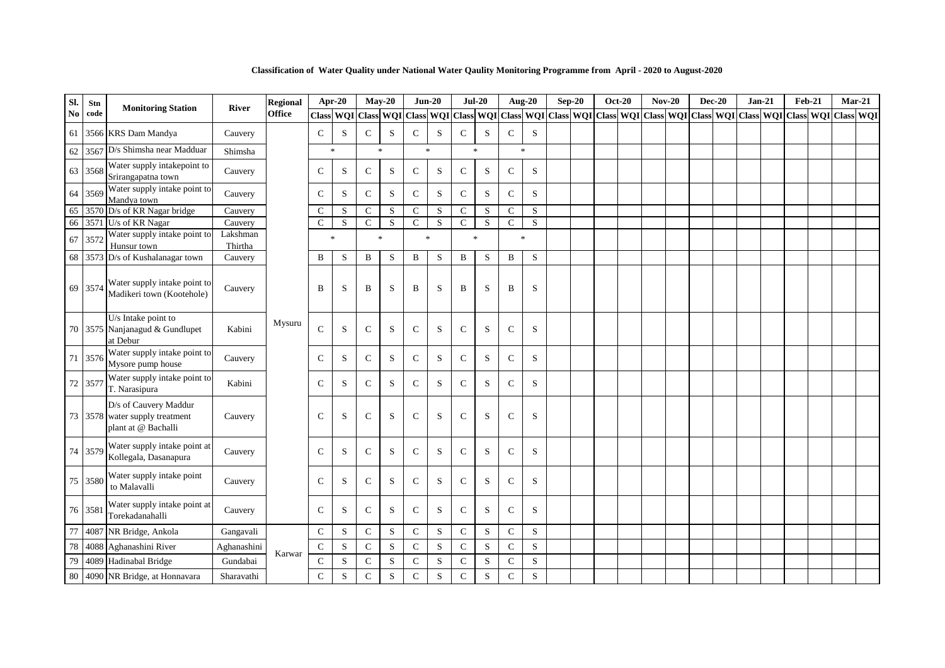| Sl. | Stn     |                                                                                |                     | <b>Regional</b> | Apr-20        |           | $May-20$            |                         | $Jun-20$     |                         | $Jul-20$      |           | <b>Aug-20</b>                     |           | $Sep-20$ | <b>Oct-20</b> |  | $Nov-20$                                                                                                      | <b>Dec-20</b> | $Jan-21$ | <b>Feb-21</b> | $Mar-21$ |  |
|-----|---------|--------------------------------------------------------------------------------|---------------------|-----------------|---------------|-----------|---------------------|-------------------------|--------------|-------------------------|---------------|-----------|-----------------------------------|-----------|----------|---------------|--|---------------------------------------------------------------------------------------------------------------|---------------|----------|---------------|----------|--|
| No  | code    | <b>Monitoring Station</b>                                                      | <b>River</b>        | <b>Office</b>   |               |           | Class WQI Class WQI |                         |              |                         |               |           |                                   |           |          |               |  | Class WOI Class WOI Class WOI Class WOI Class WOI Class WOI Class WOI Class WOI Class WOI Class WOI Class WOI |               |          |               |          |  |
|     |         | 61 3566 KRS Dam Mandya                                                         | Cauvery             |                 | $\mathcal{C}$ | S         | $\mathcal{C}$       | S                       | $\mathbf C$  | S                       | $\mathsf{C}$  | S         | $\mathsf{C}$                      | S         |          |               |  |                                                                                                               |               |          |               |          |  |
|     |         | 62 3567 D/s Shimsha near Madduar                                               | Shimsha             |                 | $\ast$        |           | $\ast$              |                         | $\ast$       |                         | $\ast$        |           | $\ast$                            |           |          |               |  |                                                                                                               |               |          |               |          |  |
|     | 63 3568 | Water supply intakepoint to<br>Srirangapatna town                              | Cauvery             |                 | $\mathsf{C}$  | S         | $\mathbf C$         | S                       | $\mathbf C$  | S                       | $\mathbf C$   | S         | ${\bf C}$                         | S         |          |               |  |                                                                                                               |               |          |               |          |  |
|     | 64 3569 | Water supply intake point to<br>Mandya town                                    | Cauvery             |                 | $\mathcal{C}$ | S         | $\mathcal{C}$       | S                       | $\mathsf{C}$ | S                       | $\mathsf{C}$  | S         | $\mathsf{C}$                      | S         |          |               |  |                                                                                                               |               |          |               |          |  |
|     |         | 65 3570 D/s of KR Nagar bridge                                                 | Cauvery             |                 | $\mathsf{C}$  | S         | $\mathsf{C}$        | ${\bf S}$               | $\mathbf C$  | S                       | $\mathbf C$   | S         | $\mathsf{C}$                      | S         |          |               |  |                                                                                                               |               |          |               |          |  |
|     |         | 66 3571 U/s of KR Nagar                                                        | Cauvery             |                 | $\mathbf C$   | S         | $\mathbf C$         | $\overline{\mathbf{s}}$ | $\mathbf C$  | $\overline{\mathbf{s}}$ | ${\bf C}$     | S         | $\overline{C}$                    | ${\bf S}$ |          |               |  |                                                                                                               |               |          |               |          |  |
|     | 67 3572 | Water supply intake point to<br>Hunsur town                                    | Lakshman<br>Thirtha |                 | $\ast$        |           | $\ast$              |                         | $\ast$       |                         | $\ast$        |           | $\frac{d\mathbf{r}}{d\mathbf{r}}$ |           |          |               |  |                                                                                                               |               |          |               |          |  |
|     |         | 68 3573 D/s of Kushalanagar town                                               | Cauvery             |                 | B             | S         | $\, {\bf B}$        | ${\bf S}$               | $\bf{B}$     | S                       | $\bf{B}$      | S         | $\, {\bf B}$                      | S         |          |               |  |                                                                                                               |               |          |               |          |  |
|     | 69 3574 | Water supply intake point to<br>Madikeri town (Kootehole)                      | Cauvery             |                 | B             | S         | B                   | S                       | B            | S                       | B             | S         | B                                 | S         |          |               |  |                                                                                                               |               |          |               |          |  |
|     |         | U/s Intake point to<br>70 3575 Nanjanagud & Gundlupet<br>at Debur              | Kabini              | Mysuru          | $\mathcal{C}$ | S         | $\mathsf{C}$        | S                       | $\mathsf{C}$ | S                       | $\mathsf{C}$  | S         | $\mathbf C$                       | S         |          |               |  |                                                                                                               |               |          |               |          |  |
|     | 71 3576 | Water supply intake point to<br>Mysore pump house                              | Cauvery             |                 | $\mathcal{C}$ | S         | $\mathsf{C}$        | S                       | $\mathsf{C}$ | S                       | $\mathsf{C}$  | S         | $\mathsf{C}$                      | S         |          |               |  |                                                                                                               |               |          |               |          |  |
|     | 72 3577 | Water supply intake point to<br>T. Narasipura                                  | Kabini              |                 | $\mathsf{C}$  | S         | $\mathbf C$         | S                       | $\mathbf C$  | S                       | $\mathsf{C}$  | S         | ${\bf C}$                         | S         |          |               |  |                                                                                                               |               |          |               |          |  |
|     |         | D/s of Cauvery Maddur<br>73 3578 water supply treatment<br>plant at @ Bachalli | Cauvery             |                 | $\mathcal{C}$ | S         | $\mathcal{C}$       | S                       | $\mathbf C$  | S                       | $\mathcal{C}$ | S         | $\mathbf C$                       | S         |          |               |  |                                                                                                               |               |          |               |          |  |
|     | 74 3579 | Water supply intake point at<br>Kollegala, Dasanapura                          | Cauvery             |                 | $\mathcal{C}$ | S         | $\mathsf{C}$        | S                       | $\mathbf C$  | S                       | $\mathsf{C}$  | S         | $\mathsf{C}$                      | S         |          |               |  |                                                                                                               |               |          |               |          |  |
|     | 75 3580 | Water supply intake point<br>to Malavalli                                      | Cauvery             |                 | $\mathcal{C}$ | S         | $\mathbf C$         | S                       | $\mathbf C$  | S                       | $\mathsf{C}$  | S         | $\mathsf{C}$                      | S         |          |               |  |                                                                                                               |               |          |               |          |  |
|     | 76 3581 | Water supply intake point at<br>Torekadanahalli                                | Cauvery             |                 | $\mathcal{C}$ | S         | $\mathsf{C}$        | S                       | ${\bf C}$    | S                       | $\mathsf{C}$  | S         | $\mathsf{C}$                      | S         |          |               |  |                                                                                                               |               |          |               |          |  |
| 77  |         | 4087 NR Bridge, Ankola                                                         | Gangavali           |                 | $\mathbf C$   | ${\bf S}$ | ${\bf C}$           | S                       | $\mathbf C$  | S                       | $\mathbf C$   | ${\bf S}$ | ${\bf C}$                         | ${\bf S}$ |          |               |  |                                                                                                               |               |          |               |          |  |
| 78  |         | 4088 Aghanashini River                                                         | Aghanashini         |                 | $\mathbf C$   | S         | $\mathbf C$         | S                       | $\mathbf C$  | S                       | $\mathbf C$   | S         | $\mathsf{C}$                      | S         |          |               |  |                                                                                                               |               |          |               |          |  |
| 79  |         | 4089 Hadinabal Bridge                                                          | Gundabai            | Karwar          | $\mathcal{C}$ | S         | $\mathsf{C}$        | S                       | ${\bf C}$    | ${\bf S}$               | $\mathbf C$   | S         | $\mathsf{C}$                      | S         |          |               |  |                                                                                                               |               |          |               |          |  |
| 80  |         | 4090 NR Bridge, at Honnavara                                                   | Sharavathi          |                 | $\mathsf{C}$  | S         | $\mathsf{C}$        | S                       | $\mathbf C$  | S                       | $\mathsf{C}$  | S         | $\mathbf C$                       | S         |          |               |  |                                                                                                               |               |          |               |          |  |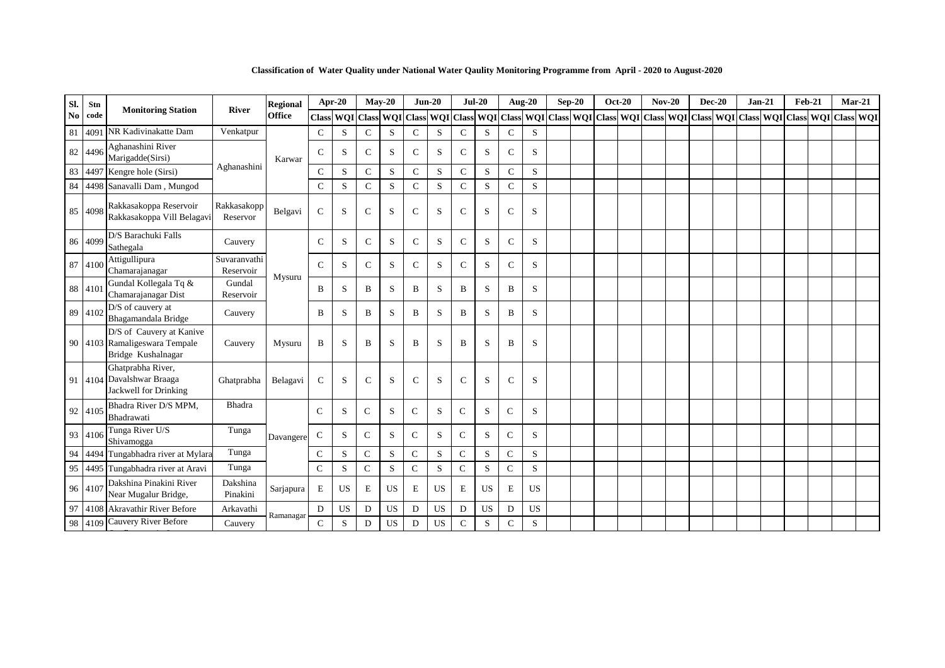| SI. | Stn     | <b>Monitoring Station</b>                                                       | <b>River</b>              | <b>Regional</b> |               | Apr-20    | $Mav-20$            |           | $Jun-20$     |           | $Jul-20$      |           |               | <b>Aug-20</b>           | $Sep-20$                      | <b>Oct-20</b> | $Nov-20$ | <b>Dec-20</b> | $Jan-21$ | <b>Feb-21</b> | $Mar-21$                                              |  |
|-----|---------|---------------------------------------------------------------------------------|---------------------------|-----------------|---------------|-----------|---------------------|-----------|--------------|-----------|---------------|-----------|---------------|-------------------------|-------------------------------|---------------|----------|---------------|----------|---------------|-------------------------------------------------------|--|
| No  | code    |                                                                                 |                           | <b>Office</b>   |               |           | Class WQI Class WQI |           | <b>Class</b> |           |               |           |               | WQI Class WQI Class WQI | Class WQI Class WQI Class WQI |               |          |               |          |               | Class   WQI   Class   WQI   Class   WQI   Class   WQI |  |
| 81  | 4091    | NR Kadivinakatte Dam                                                            | Venkatpur                 |                 | $\mathbf C$   | S         | $\mathsf{C}$        | S         | $\mathsf{C}$ | S         | $\mathsf{C}$  | S         | $\mathcal{C}$ | S                       |                               |               |          |               |          |               |                                                       |  |
|     | 82 4496 | Aghanashini River<br>Marigadde(Sirsi)                                           |                           | Karwar          | $\mathsf{C}$  | S         | $\mathcal{C}$       | S         | $\mathsf{C}$ | S         | $\mathsf{C}$  | S         | $\mathbf C$   | S                       |                               |               |          |               |          |               |                                                       |  |
| 83  | 4497    | Kengre hole (Sirsi)                                                             | Aghanashini               |                 | C             | S         | $\mathcal{C}$       | S         | $\mathsf{C}$ | S         | $\mathsf{C}$  | S         | $\mathsf{C}$  | S                       |                               |               |          |               |          |               |                                                       |  |
| 84  |         | 4498 Sanavalli Dam, Mungod                                                      |                           |                 | $\mathbf C$   | S         | $\mathsf{C}$        | S         | $\mathbf C$  | S         | $\mathsf{C}$  | S         | $\mathsf{C}$  | S                       |                               |               |          |               |          |               |                                                       |  |
| 85  | 4098    | Rakkasakoppa Reservoir<br>Rakkasakoppa Vill Belagavi                            | Rakkasakopp<br>Reservor   | Belgavi         | $\mathbf C$   | S         | $\mathcal{C}$       | S         | $\mathbf C$  | S         | $\mathbf C$   | S         | $\mathsf{C}$  | S                       |                               |               |          |               |          |               |                                                       |  |
|     | 86 4099 | D/S Barachuki Falls<br>Sathegala                                                | Cauvery                   |                 | $\mathbf C$   | S         | $\mathcal{C}$       | S         | $\mathsf{C}$ | S         | $\mathsf{C}$  | S         | $\mathsf{C}$  | S                       |                               |               |          |               |          |               |                                                       |  |
|     | 87 4100 | Attigullipura<br>Chamarajanagar                                                 | Suvaranvathi<br>Reservoir | Mysuru          | $\mathcal{C}$ | S         | $\mathcal{C}$       | S         | $\mathsf{C}$ | S         | $\mathcal{C}$ | S         | $\mathcal{C}$ | S                       |                               |               |          |               |          |               |                                                       |  |
|     | 88 410  | Gundal Kollegala Tq &<br>Chamarajanagar Dist                                    | Gundal<br>Reservoir       |                 | B             | S         | B                   | S         | B            | S         | B             | S         | B             | S                       |                               |               |          |               |          |               |                                                       |  |
|     | 89 4102 | D/S of cauvery at<br>Bhagamandala Bridge                                        | Cauvery                   |                 | B             | S         | B                   | S         | B            | S         | B             | S         | B             | S                       |                               |               |          |               |          |               |                                                       |  |
|     |         | D/S of Cauvery at Kanive<br>90 4103 Ramaligeswara Tempale<br>Bridge Kushalnagar | Cauvery                   | Mysuru          | B             | S         | B                   | S         | B            | S         | B             | S         | B             | S                       |                               |               |          |               |          |               |                                                       |  |
|     |         | Ghatprabha River,<br>91 4104 Davalshwar Braaga<br>Jackwell for Drinking         | Ghatprabha                | Belagavi        | $\mathbf C$   | S         | $\mathcal{C}$       | S         | $\mathbf C$  | S         | $\mathsf{C}$  | S         | $\mathcal{C}$ | S                       |                               |               |          |               |          |               |                                                       |  |
|     | 92 4105 | Bhadra River D/S MPM,<br>Bhadrawati                                             | Bhadra                    |                 | $\mathcal{C}$ | S         | $\mathcal{C}$       | S         | $\mathsf{C}$ | S         | $\mathcal{C}$ | S         | $\mathcal{C}$ | S                       |                               |               |          |               |          |               |                                                       |  |
|     | 93 4106 | Tunga River U/S<br>Shivamogga                                                   | Tunga                     | Davangere       | ${\bf C}$     | S         | $\mathsf{C}$        | S         | $\mathsf{C}$ | S         | $\mathsf{C}$  | S         | $\mathsf{C}$  | S                       |                               |               |          |               |          |               |                                                       |  |
| 94  | 4494    | Tungabhadra river at Mylara                                                     | Tunga                     |                 | $\mathbf C$   | S         | $\mathsf{C}$        | S         | $\mathbf C$  | S         | $\mathbf C$   | S         | $\mathsf{C}$  | S                       |                               |               |          |               |          |               |                                                       |  |
| 95  | 4495    | Tungabhadra river at Aravi                                                      | Tunga                     |                 | $\mathcal{C}$ | S         | $\mathcal{C}$       | S         | $\mathsf{C}$ | S         | $\mathsf{C}$  | S         | $\mathcal{C}$ | S                       |                               |               |          |               |          |               |                                                       |  |
|     | 96 4107 | Dakshina Pinakini River<br>Near Mugalur Bridge,                                 | Dakshina<br>Pinakini      | Sarjapura       | $\mathbf E$   | <b>US</b> | E                   | <b>US</b> | E            | <b>US</b> | $\mathbf E$   | <b>US</b> | E             | <b>US</b>               |                               |               |          |               |          |               |                                                       |  |
| 97  |         | 4108 Akravathir River Before                                                    | Arkavathi                 | Ramanagar       | D             | US        | D                   | US        | D            | US        | $\mathbf D$   | <b>US</b> | D             | <b>US</b>               |                               |               |          |               |          |               |                                                       |  |
| 98  | 4109    | Cauvery River Before                                                            | Cauvery                   |                 | $\mathcal{C}$ | S         | D                   | <b>US</b> | D            | <b>US</b> | $\mathsf{C}$  | S         | C             | S                       |                               |               |          |               |          |               |                                                       |  |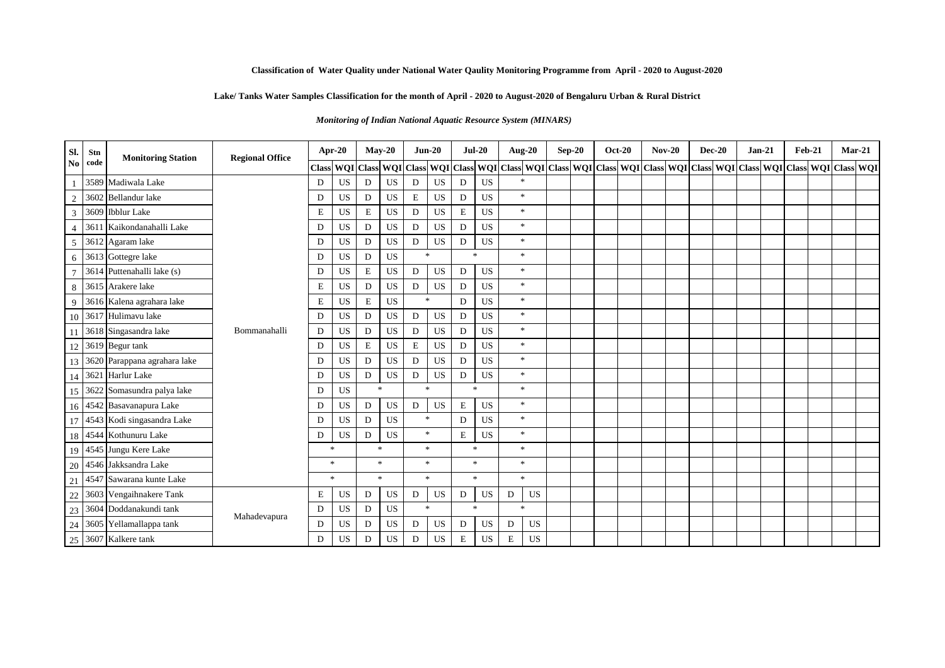# **Lake/ Tanks Water Samples Classification for the month of April - 2020 to August-2020 of Bengaluru Urban & Rural District**

*Monitoring of Indian National Aquatic Resource System (MINARS)* 

| Sl.            | Stn  | <b>Monitoring Station</b>       | <b>Regional Office</b> | Apr-20       |           |             | $Mav-20$       |               | $Jun-20$         | $Jul-20$      |               | <b>Aug-20</b>                                                                                                                         | $Sep-20$ | <b>Oct-20</b> | $Nov-20$ | <b>Dec-20</b> | $Jan-21$ | <b>Feb-21</b> |  | $Mar-21$ |
|----------------|------|---------------------------------|------------------------|--------------|-----------|-------------|----------------|---------------|------------------|---------------|---------------|---------------------------------------------------------------------------------------------------------------------------------------|----------|---------------|----------|---------------|----------|---------------|--|----------|
| N <sub>o</sub> | code |                                 |                        | <b>Class</b> |           |             |                |               |                  |               |               | WQI Class WQI Class WQI Class WQI Class WQI Class WQI Class WQI Class WQI Class WQI Class WQI Class WQI Class WQI Class WQI Class WQI |          |               |          |               |          |               |  |          |
|                |      | 3589 Madiwala Lake              |                        | D            | US        | D           | <b>US</b>      | D             | <b>US</b>        | D             | <b>US</b>     | $\frac{1}{2}$                                                                                                                         |          |               |          |               |          |               |  |          |
| $\overline{2}$ |      | 3602 Bellandur lake             |                        | D            | <b>US</b> | D           | US             | $\mathbf E$   | <b>US</b>        | D             | <b>US</b>     | $\ast$                                                                                                                                |          |               |          |               |          |               |  |          |
| 3              |      | 3609 Ibblur Lake                |                        | E            | US        | E           | <b>US</b>      | D             | <b>US</b>        | E             | <b>US</b>     | $\ast$                                                                                                                                |          |               |          |               |          |               |  |          |
|                | 361  | Kaikondanahalli Lake            |                        | D            | <b>US</b> | D           | <b>US</b>      | D             | US               | D             | <b>US</b>     | $\ast$                                                                                                                                |          |               |          |               |          |               |  |          |
| 5              |      | 3612 Agaram lake                |                        | D            | <b>US</b> | D           | <b>US</b>      | D             | US               | D             | US            | $\ast$                                                                                                                                |          |               |          |               |          |               |  |          |
| 6              |      | 3613 Gottegre lake              |                        | D            | <b>US</b> | D           | <b>US</b>      |               | $\frac{1}{2\pi}$ | 宋             |               | $\ast$                                                                                                                                |          |               |          |               |          |               |  |          |
|                |      | 3614 Puttenahalli lake (s)      |                        | D            | US        | E           | <b>US</b>      | D             | US               | D             | <b>US</b>     | $\ast$                                                                                                                                |          |               |          |               |          |               |  |          |
| 8              |      | 3615 Arakere lake               |                        | E            | US        | D           | US             | D             | US               | $\mathbf D$   | US            | $\ast$                                                                                                                                |          |               |          |               |          |               |  |          |
| 9              |      | 3616 Kalena agrahara lake       |                        | $\mathbf E$  | US        | $\mathbf E$ | US             | $\mathcal{R}$ |                  | D             | <b>US</b>     | $\ast$                                                                                                                                |          |               |          |               |          |               |  |          |
|                |      | 10 3617 Hulimavu lake           |                        | D            | US        | D           | US             | D             | US               | D             | US            | $\ast$                                                                                                                                |          |               |          |               |          |               |  |          |
|                |      | 3618 Singasandra lake           | Bommanahalli           | D            | <b>US</b> | D           | <b>US</b>      | D             | US               | D             | <b>US</b>     | $\ast$                                                                                                                                |          |               |          |               |          |               |  |          |
|                |      | 12 3619 Begur tank              |                        | D            | <b>US</b> | E           | <b>US</b>      | $\mathbf E$   | <b>US</b>        | D             | <b>US</b>     | $\ast$                                                                                                                                |          |               |          |               |          |               |  |          |
|                |      | 13 3620 Parappana agrahara lake |                        | D            | US        | D           | US             | D             | US               | D             | <b>US</b>     | $\ast$                                                                                                                                |          |               |          |               |          |               |  |          |
|                |      | 14 3621 Harlur Lake             |                        | D            | US        | D           | <b>US</b>      | D             | <b>US</b>        | D             | <b>US</b>     | $\ast$                                                                                                                                |          |               |          |               |          |               |  |          |
| 15             |      | 3622 Somasundra palya lake      |                        | D            | <b>US</b> |             | $\frac{d}{dt}$ |               | $\mathbb{R}^2$   | $\mathcal{R}$ |               | $\ast$                                                                                                                                |          |               |          |               |          |               |  |          |
|                |      | 16 4542 Basavanapura Lake       |                        | D            | <b>US</b> | D           | <b>US</b>      | D             | US               | E             | <b>US</b>     | $\ast$                                                                                                                                |          |               |          |               |          |               |  |          |
|                |      | 17 4543 Kodi singasandra Lake   |                        | D            | <b>US</b> | D           | <b>US</b>      |               | $\ast$           | D             | <b>US</b>     | $*$                                                                                                                                   |          |               |          |               |          |               |  |          |
|                |      | 18 4544 Kothunuru Lake          |                        | D            | US        | D           | <b>US</b>      |               | $\ast$           | $\mathbf E$   | <b>US</b>     | $*$                                                                                                                                   |          |               |          |               |          |               |  |          |
|                |      | 19 4545 Jungu Kere Lake         |                        | $\ast$       |           |             | $\frac{d}{dt}$ |               | $\ast$           | $\ast$        |               | $*$                                                                                                                                   |          |               |          |               |          |               |  |          |
| 20             |      | 4546 Jakksandra Lake            |                        | $\ast$       |           |             | $\gg$          |               | $\mathcal{R}$    | $\mathcal{R}$ |               | $\ast$                                                                                                                                |          |               |          |               |          |               |  |          |
| 21             |      | 4547 Sawarana kunte Lake        |                        | $\ast$       |           |             | $\gg$          |               | $\ast$           |               | $\ast$        | $\ast$                                                                                                                                |          |               |          |               |          |               |  |          |
| 22             |      | 3603 Vengaihnakere Tank         |                        | E            | <b>US</b> | D           | <b>US</b>      | D             | US               | D             | US            | US<br>D                                                                                                                               |          |               |          |               |          |               |  |          |
| 23             |      | 3604 Doddanakundi tank          | Mahadevapura           | D            | US        | D           | <b>US</b>      | $\mathcal{R}$ |                  |               | $\mathcal{R}$ | $\ast$                                                                                                                                |          |               |          |               |          |               |  |          |
| 24             |      | 3605 Yellamallappa tank         |                        | D            | US        | D           | US             | D             | US               | $\mathbf D$   | $_{\rm US}$   | <b>US</b><br>D                                                                                                                        |          |               |          |               |          |               |  |          |
|                |      | 25 3607 Kalkere tank            |                        | D            | US        | D           | US             | D             | <b>US</b>        | $\mathbf E$   | US            | <b>US</b><br>Е                                                                                                                        |          |               |          |               |          |               |  |          |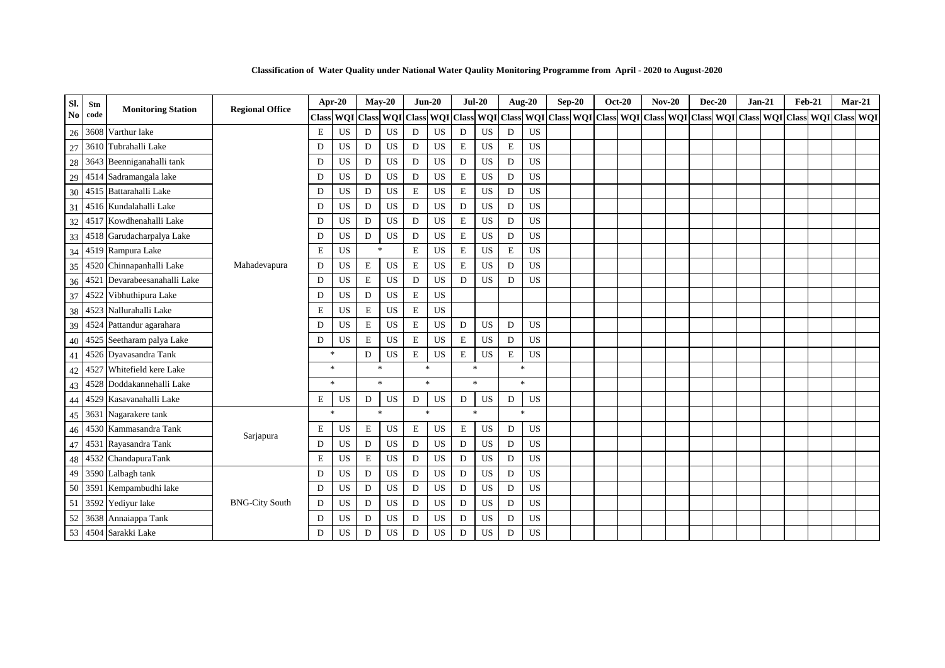| Sl.            | Stn  | <b>Monitoring Station</b>    | <b>Regional Office</b> | Apr-20           |           | $Mav-20$         |             | $Jun-20$           |           | $Jul-20$                |           | Aug-20 $\,$  |           |              | $Sep-20$                | <b>Oct-20</b> |  | $Nov-20$ | <b>Dec-20</b> | $Jan-21$ | <b>Feb-21</b> | $Mar-21$                                |  |
|----------------|------|------------------------------|------------------------|------------------|-----------|------------------|-------------|--------------------|-----------|-------------------------|-----------|--------------|-----------|--------------|-------------------------|---------------|--|----------|---------------|----------|---------------|-----------------------------------------|--|
| N <sub>0</sub> | code |                              |                        | <b>Class WOI</b> |           |                  | Class WQI   | Class              |           | WQI Class WQI Class WQI |           |              |           | <b>Class</b> | WQI Class WQI Class WQI |               |  |          |               |          |               | Class WQI Class WQI Class WQI Class WQI |  |
| 26             |      | 3608 Varthur lake            |                        | E                | <b>US</b> | D                | US          | D                  | US        | $\mathbf D$             | US        | D            | <b>US</b> |              |                         |               |  |          |               |          |               |                                         |  |
| 27             |      | 3610 Tubrahalli Lake         |                        | D                | <b>US</b> | D                | <b>US</b>   | D                  | <b>US</b> | $\mathbf E$             | <b>US</b> | E            | US        |              |                         |               |  |          |               |          |               |                                         |  |
| 28             |      | 3643 Beenniganahalli tank    |                        | D                | <b>US</b> | D                | <b>US</b>   | $\mathbf D$        | <b>US</b> | $\mathbf D$             | <b>US</b> | D            | <b>US</b> |              |                         |               |  |          |               |          |               |                                         |  |
| 29             |      | 4514 Sadramangala lake       |                        | D                | <b>US</b> | D                | US          | D                  | US        | $\mathbf E$             | <b>US</b> | D            | US        |              |                         |               |  |          |               |          |               |                                         |  |
| 30             |      | 4515 Battarahalli Lake       |                        | D                | <b>US</b> | D                | <b>US</b>   | E                  | US        | $\mathbf E$             | US        | D            | US        |              |                         |               |  |          |               |          |               |                                         |  |
| 31             |      | 4516 Kundalahalli Lake       |                        | D                | US        | D                | US          | D                  | US        | ${\bf D}$               | US        | D            | <b>US</b> |              |                         |               |  |          |               |          |               |                                         |  |
| 32             |      | 4517 Kowdhenahalli Lake      |                        | D                | US        | D                | $_{\rm US}$ | D                  | <b>US</b> | $\mathbf E$             | US        | D            | US        |              |                         |               |  |          |               |          |               |                                         |  |
| 33             |      | 4518 Garudacharpalya Lake    |                        | D                | <b>US</b> | D                | <b>US</b>   | $\mathbf D$        | <b>US</b> | $\mathbf E$             | US        | D            | <b>US</b> |              |                         |               |  |          |               |          |               |                                         |  |
| 34             |      | 4519 Rampura Lake            |                        | $\mathbf E$      | US        | $\ast$           |             | E                  | US        | ${\bf E}$               | US        | $\mathbf E$  | US        |              |                         |               |  |          |               |          |               |                                         |  |
| 35             |      | 4520 Chinnapanhalli Lake     | Mahadevapura           | D                | <b>US</b> | E                | US          | $\mathbf E$        | US        | $\mathbf E$             | US        | D            | <b>US</b> |              |                         |               |  |          |               |          |               |                                         |  |
| 36             |      | 4521 Devarabeesanahalli Lake |                        | D                | <b>US</b> | E                | <b>US</b>   | ${\bf D}$          | <b>US</b> | D                       | <b>US</b> | D            | <b>US</b> |              |                         |               |  |          |               |          |               |                                         |  |
| 37             |      | 4522 Vibhuthipura Lake       |                        | D                | US        | D                | <b>US</b>   | ${\bf E}$          | <b>US</b> |                         |           |              |           |              |                         |               |  |          |               |          |               |                                         |  |
| 38             |      | 4523 Nallurahalli Lake       |                        | E                | US        | E                | US          | E                  | US        |                         |           |              |           |              |                         |               |  |          |               |          |               |                                         |  |
| 39             |      | 4524 Pattandur agarahara     |                        | D                | <b>US</b> | E                | <b>US</b>   | E                  | US        | ${\rm D}$               | US        | D            | <b>US</b> |              |                         |               |  |          |               |          |               |                                         |  |
| 40             |      | 4525 Seetharam palya Lake    |                        | D                | <b>US</b> | E                | <b>US</b>   | E                  | US        | $\mathbf E$             | <b>US</b> | D            | US        |              |                         |               |  |          |               |          |               |                                         |  |
| 41             |      | 4526 Dyavasandra Tank        |                        | $\ast$           |           | D                | US          | ${\bf E}$          | <b>US</b> | ${\bf E}$               | <b>US</b> | $\mathbf E$  | US        |              |                         |               |  |          |               |          |               |                                         |  |
| 42             |      | 4527 Whitefield kere Lake    |                        | $\ast$           |           | $\frac{1}{2\pi}$ |             | $\dot{\mathbf{x}}$ |           | $\ast$                  |           | $\ast$       |           |              |                         |               |  |          |               |          |               |                                         |  |
| 43             |      | 4528 Doddakannehalli Lake    |                        | $\ast$           |           | $\mathbf{g}_i$   |             | $\frac{1}{2}$      |           | $\frac{1}{2}$           |           | $\mathbf{x}$ |           |              |                         |               |  |          |               |          |               |                                         |  |
| 44             |      | 4529 Kasavanahalli Lake      |                        | E                | US        | D                | US          | D                  | US        | D                       | <b>US</b> | D            | <b>US</b> |              |                         |               |  |          |               |          |               |                                         |  |
| 45             |      | 3631 Nagarakere tank         |                        | $\ast$           |           | $\frac{1}{2\pi}$ |             | $\frac{1}{20}$     |           | $\frac{1}{2}$           |           | $\ast$       |           |              |                         |               |  |          |               |          |               |                                         |  |
| 46             |      | 4530 Kammasandra Tank        |                        | E                | <b>US</b> | $\mathbf E$      | <b>US</b>   | E                  | <b>US</b> | $\mathbf E$             | <b>US</b> | D            | <b>US</b> |              |                         |               |  |          |               |          |               |                                         |  |
| 47             |      | 4531 Rayasandra Tank         | Sarjapura              | D                | <b>US</b> | D                | US          | D                  | US        | ${\bf D}$               | US        | D            | <b>US</b> |              |                         |               |  |          |               |          |               |                                         |  |
| 48             |      | 4532 ChandapuraTank          |                        | E                | US        | E                | <b>US</b>   | D                  | <b>US</b> | D                       | <b>US</b> | D            | US        |              |                         |               |  |          |               |          |               |                                         |  |
| 49             |      | 3590 Lalbagh tank            |                        | D                | US        | D                | <b>US</b>   | D                  | <b>US</b> | $\mathbf D$             | US        | D            | <b>US</b> |              |                         |               |  |          |               |          |               |                                         |  |
| 50             |      | 3591 Kempambudhi lake        |                        | D                | <b>US</b> | D                | US          | D                  | US        | ${\rm D}$               | US        | D            | US        |              |                         |               |  |          |               |          |               |                                         |  |
| 51             |      | 3592 Yediyur lake            | <b>BNG-City South</b>  | D                | <b>US</b> | D                | <b>US</b>   | D                  | <b>US</b> | $\mathbf D$             | US        | D            | <b>US</b> |              |                         |               |  |          |               |          |               |                                         |  |
| 52             |      | 3638 Annaiappa Tank          |                        | D                | US        | D                | <b>US</b>   | ${\rm D}$          | <b>US</b> | $\mathbf D$             | US        | D            | <b>US</b> |              |                         |               |  |          |               |          |               |                                         |  |
|                |      | 53 4504 Sarakki Lake         |                        | D                | US        | D                | <b>US</b>   | D                  | <b>US</b> | $\mathbf D$             | US        | D            | US        |              |                         |               |  |          |               |          |               |                                         |  |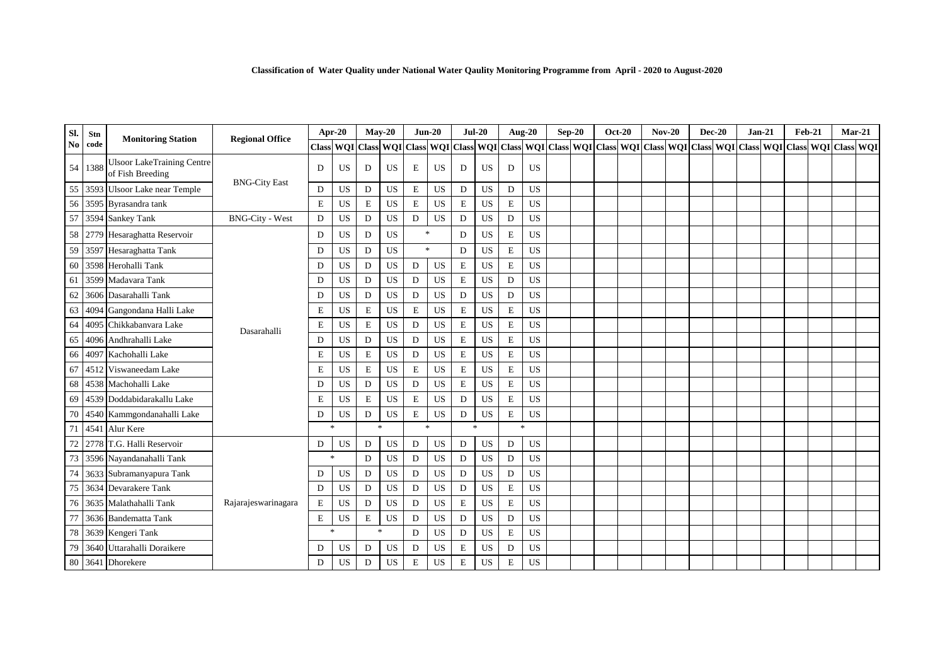| Sl.            | Stn     | <b>Monitoring Station</b>                             | <b>Regional Office</b> |             | Apr-20              |                | $May-20$    |                | $Jun-20$  | $Jul-20$    |           |             | Aug-20    | $Sep-20$ | <b>Oct-20</b> | $Nov-20$                                                                                                      | $Dec-20$ | $Jan-21$ | $Feb-21$ | $Mar-21$ |  |
|----------------|---------|-------------------------------------------------------|------------------------|-------------|---------------------|----------------|-------------|----------------|-----------|-------------|-----------|-------------|-----------|----------|---------------|---------------------------------------------------------------------------------------------------------------|----------|----------|----------|----------|--|
| N <sub>0</sub> | code    |                                                       |                        |             | Class WQI Class WQI |                |             |                |           |             |           |             |           |          |               | Class WQI Class WQI Class WQI Class WQI Class WQI Class WQI Class WQI Class WQI Class WQI Class WQI Class WQI |          |          |          |          |  |
|                | 54 1388 | <b>Ulsoor LakeTraining Centre</b><br>of Fish Breeding |                        | D           | <b>US</b>           | D              | <b>US</b>   | $\mathbf E$    | <b>US</b> | D           | <b>US</b> | D           | <b>US</b> |          |               |                                                                                                               |          |          |          |          |  |
| 55             |         | 3593 Ulsoor Lake near Temple                          | <b>BNG-City East</b>   | D           | <b>US</b>           | D              | <b>US</b>   | $\mathbf E$    | <b>US</b> | D           | <b>US</b> | D           | <b>US</b> |          |               |                                                                                                               |          |          |          |          |  |
| 56             |         | 3595 Byrasandra tank                                  |                        | $\mathbf E$ | US                  | ${\bf E}$      | $_{\rm US}$ | $\mathbf E$    | US        | $\mathbf E$ | US        | $\mathbf E$ | US        |          |               |                                                                                                               |          |          |          |          |  |
| 57             |         | 3594 Sankey Tank                                      | <b>BNG-City - West</b> | $\mathbf D$ | <b>US</b>           | D              | <b>US</b>   | D              | <b>US</b> | $\mathbf D$ | US        | D           | <b>US</b> |          |               |                                                                                                               |          |          |          |          |  |
| 58             |         | 2779 Hesaraghatta Reservoir                           |                        | D           | US                  | D              | <b>US</b>   | $\frac{1}{2}$  |           | D           | <b>US</b> | $\mathbf E$ | <b>US</b> |          |               |                                                                                                               |          |          |          |          |  |
| 59             |         | 3597 Hesaraghatta Tank                                |                        | D           | <b>US</b>           | D              | US          | $\frac{1}{2}$  |           | D           | <b>US</b> | E           | <b>US</b> |          |               |                                                                                                               |          |          |          |          |  |
| 60             |         | 3598 Herohalli Tank                                   |                        | D           | <b>US</b>           | D              | US          | D              | US        | $\mathbf E$ | <b>US</b> | $\mathbf E$ | <b>US</b> |          |               |                                                                                                               |          |          |          |          |  |
| 61             |         | 3599 Madavara Tank                                    |                        | D           | <b>US</b>           | D              | US          | D              | US        | $\mathbf E$ | US        | D           | <b>US</b> |          |               |                                                                                                               |          |          |          |          |  |
| 62             |         | 3606 Dasarahalli Tank                                 |                        | D           | <b>US</b>           | D              | <b>US</b>   | D              | <b>US</b> | D           | US        | D           | <b>US</b> |          |               |                                                                                                               |          |          |          |          |  |
| 63             |         | 4094 Gangondana Halli Lake                            |                        | $\mathbf E$ | US                  | E              | US          | $\mathbf E$    | US        | $\mathbf E$ | US        | E           | <b>US</b> |          |               |                                                                                                               |          |          |          |          |  |
| 64             |         | 4095 Chikkabanvara Lake                               | Dasarahalli            | $\mathbf E$ | <b>US</b>           | $\mathbf E$    | US          | D              | <b>US</b> | $\mathbf E$ | US        | E           | <b>US</b> |          |               |                                                                                                               |          |          |          |          |  |
| 65             |         | 4096 Andhrahalli Lake                                 |                        | D           | <b>US</b>           | D              | <b>US</b>   | D              | <b>US</b> | $\mathbf E$ | <b>US</b> | E           | <b>US</b> |          |               |                                                                                                               |          |          |          |          |  |
| 66             |         | 4097 Kachohalli Lake                                  |                        | $\mathbf E$ | <b>US</b>           | E              | US          | D              | <b>US</b> | $\mathbf E$ | US        | $\mathbf E$ | <b>US</b> |          |               |                                                                                                               |          |          |          |          |  |
| 67             |         | 4512 Viswaneedam Lake                                 |                        | $\mathbf E$ | <b>US</b>           | E              | US          | $\mathbf E$    | US        | $\mathbf E$ | <b>US</b> | E           | <b>US</b> |          |               |                                                                                                               |          |          |          |          |  |
| 68             |         | 4538 Machohalli Lake                                  |                        | D           | <b>US</b>           | D              | <b>US</b>   | D              | <b>US</b> | $\mathbf E$ | US        | E           | <b>US</b> |          |               |                                                                                                               |          |          |          |          |  |
| 69             |         | 4539 Doddabidarakallu Lake                            |                        | E           | <b>US</b>           | E              | US          | E              | <b>US</b> | D           | <b>US</b> | E           | <b>US</b> |          |               |                                                                                                               |          |          |          |          |  |
| 70             |         | 4540 Kammgondanahalli Lake                            |                        | D           | <b>US</b>           | D              | US          | $\mathbf E$    | US        | D           | US        | E           | <b>US</b> |          |               |                                                                                                               |          |          |          |          |  |
| 71             |         | 4541 Alur Kere                                        |                        | $*$         |                     | $\mathbf{g}_i$ |             | $\frac{1}{20}$ |           | $\gg$       |           | $\ast$      |           |          |               |                                                                                                               |          |          |          |          |  |
| 72             |         | 2778 T.G. Halli Reservoir                             |                        | D           | <b>US</b>           | D              | <b>US</b>   | D              | <b>US</b> | D           | <b>US</b> | D           | US        |          |               |                                                                                                               |          |          |          |          |  |
| 73             |         | 3596 Nayandanahalli Tank                              |                        | ∗           |                     | D              | US          | D              | <b>US</b> | D           | <b>US</b> | D           | <b>US</b> |          |               |                                                                                                               |          |          |          |          |  |
| 74             |         | 3633 Subramanyapura Tank                              |                        | D           | <b>US</b>           | D              | <b>US</b>   | D              | US        | $\mathbf D$ | US        | D           | <b>US</b> |          |               |                                                                                                               |          |          |          |          |  |
| 75             |         | 3634 Devarakere Tank                                  |                        | $\mathbf D$ | <b>US</b>           | D              | US          | D              | US        | $\mathbf D$ | <b>US</b> | E           | <b>US</b> |          |               |                                                                                                               |          |          |          |          |  |
| 76             |         | 3635 Malathahalli Tank                                | Rajarajeswarinagara    | E           | <b>US</b>           | D              | <b>US</b>   | D              | <b>US</b> | E           | US        | E           | <b>US</b> |          |               |                                                                                                               |          |          |          |          |  |
|                |         | 3636 Bandematta Tank                                  |                        | $\mathbf E$ | <b>US</b>           | E              | <b>US</b>   | D              | <b>US</b> | D           | US        | D           | <b>US</b> |          |               |                                                                                                               |          |          |          |          |  |
| 78             |         | 3639 Kengeri Tank                                     |                        | $\ast$      |                     | $\ast$         |             | D              | <b>US</b> | D           | US        | E           | <b>US</b> |          |               |                                                                                                               |          |          |          |          |  |
| 79             |         | 3640 Uttarahalli Doraikere                            |                        | D           | <b>US</b>           | D              | US          | D              | <b>US</b> | $\mathbf E$ | US        | D           | <b>US</b> |          |               |                                                                                                               |          |          |          |          |  |
|                |         | 80 3641 Dhorekere                                     |                        | D           | <b>US</b>           | D              | <b>US</b>   | $\mathbf E$    | <b>US</b> | $\mathbf E$ | US        | E           | <b>US</b> |          |               |                                                                                                               |          |          |          |          |  |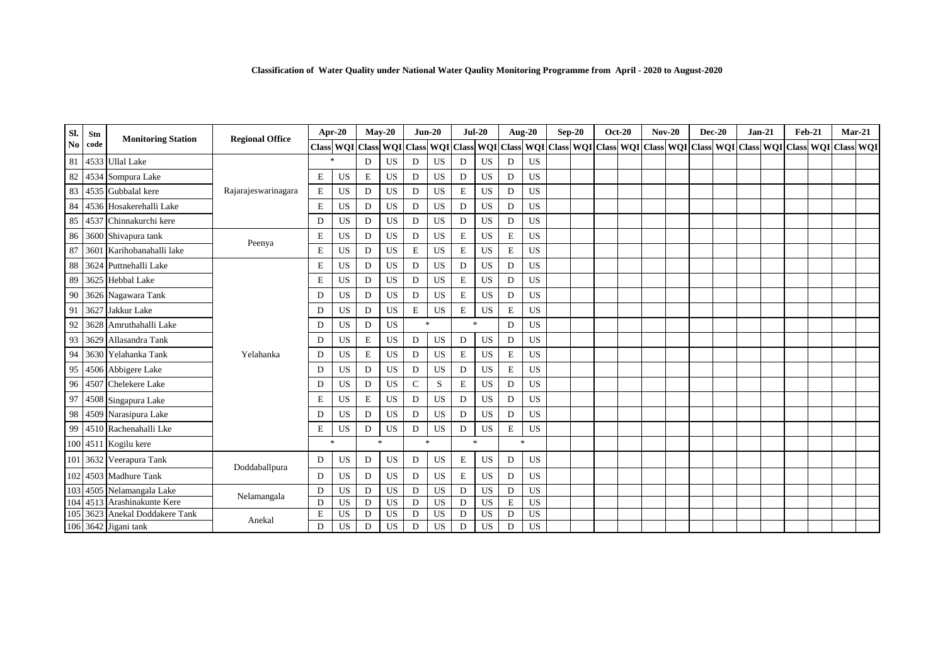| Sl.            | Stn  | <b>Monitoring Station</b>      | <b>Regional Office</b> |              | Apr-20                     |             | $Mav-20$  |                | $Jun-20$         | $Jul-20$      |           |             | <b>Aug-20</b> | $Sep-20$ | <b>Oct-20</b> | $Nov-20$                                                                                      | <b>Dec-20</b> | $Jan-21$ | $Feb-21$ |  | $Mar-21$ |
|----------------|------|--------------------------------|------------------------|--------------|----------------------------|-------------|-----------|----------------|------------------|---------------|-----------|-------------|---------------|----------|---------------|-----------------------------------------------------------------------------------------------|---------------|----------|----------|--|----------|
| N <sub>0</sub> | code |                                |                        |              | <b>Class WOI Class WOI</b> |             |           | <b>Class</b>   | <b>WQI</b> Class |               |           |             |               |          |               | WQI Class WQI Class WQI Class WQI Class WQI Class WQI Class WQI Class WQI Class WQI Class WQI |               |          |          |  |          |
| 81             |      | 4533 Ullal Lake                |                        | $\mathbf{r}$ |                            | D           | <b>US</b> | D              | US               | D             | <b>US</b> | D           | <b>US</b>     |          |               |                                                                                               |               |          |          |  |          |
| 82             |      | 4534 Sompura Lake              |                        | $\mathbf E$  | <b>US</b>                  | $\mathbf E$ | <b>US</b> | D              | US               | $\mathbf{D}$  | US        | D           | <b>US</b>     |          |               |                                                                                               |               |          |          |  |          |
| 83             |      | 4535 Gubbalal kere             | Rajarajeswarinagara    | $\mathbf E$  | <b>US</b>                  | D           | <b>US</b> | D              | US               | $\mathbf E$   | US        | D           | <b>US</b>     |          |               |                                                                                               |               |          |          |  |          |
| 84             |      | 4536 Hosakerehalli Lake        |                        | $\mathbf E$  | US                         | D           | <b>US</b> | D              | US               | $\mathbf{D}$  | <b>US</b> | D           | <b>US</b>     |          |               |                                                                                               |               |          |          |  |          |
| 85             |      | 4537 Chinnakurchi kere         |                        | D            | <b>US</b>                  | D           | <b>US</b> | D              | <b>US</b>        | $\mathbf D$   | <b>US</b> | D           | <b>US</b>     |          |               |                                                                                               |               |          |          |  |          |
| 86             |      | 3600 Shivapura tank            |                        | $\mathbf E$  | <b>US</b>                  | D           | <b>US</b> | D              | <b>US</b>        | $\mathbf E$   | US        | $\mathbf E$ | <b>US</b>     |          |               |                                                                                               |               |          |          |  |          |
| 87             |      | 3601 Karihobanahalli lake      | Peenya                 | $\mathbf E$  | US                         | D           | <b>US</b> | E              | US               | $\mathbf E$   | US        | $\mathbf E$ | <b>US</b>     |          |               |                                                                                               |               |          |          |  |          |
| 88             |      | 3624 Puttnehalli Lake          |                        | $\mathbf E$  | <b>US</b>                  | D           | <b>US</b> | D              | <b>US</b>        | D             | US        | D           | <b>US</b>     |          |               |                                                                                               |               |          |          |  |          |
| 89             |      | 3625 Hebbal Lake               |                        | $\mathbf E$  | <b>US</b>                  | D           | US        | D              | US               | $\mathbf E$   | <b>US</b> | D           | US            |          |               |                                                                                               |               |          |          |  |          |
| 90             |      | 3626 Nagawara Tank             |                        | D            | <b>US</b>                  | D           | <b>US</b> | D              | US               | $\mathbf E$   | US        | D           | US            |          |               |                                                                                               |               |          |          |  |          |
| 91             |      | 3627 Jakkur Lake               |                        | D            | <b>US</b>                  | D           | <b>US</b> | E              | US               | $\mathbf E$   | US        | $\mathbf E$ | US            |          |               |                                                                                               |               |          |          |  |          |
| 92             |      | 3628 Amruthahalli Lake         |                        | D            | <b>US</b>                  | D           | <b>US</b> | $\frac{1}{26}$ |                  | $\ast$        |           | D           | <b>US</b>     |          |               |                                                                                               |               |          |          |  |          |
| 93             |      | 3629 Allasandra Tank           |                        | D            | <b>US</b>                  | E           | <b>US</b> | D              | US               | D             | US        | D           | <b>US</b>     |          |               |                                                                                               |               |          |          |  |          |
| 94             |      | 3630 Yelahanka Tank            | Yelahanka              | D            | <b>US</b>                  | E           | <b>US</b> | D              | US               | $\mathbf E$   | US        | $\mathbf E$ | <b>US</b>     |          |               |                                                                                               |               |          |          |  |          |
| 95             |      | 4506 Abbigere Lake             |                        | D            | <b>US</b>                  | D           | <b>US</b> | D              | <b>US</b>        | ${\rm D}$     | US        | E           | <b>US</b>     |          |               |                                                                                               |               |          |          |  |          |
| 96             |      | 4507 Chelekere Lake            |                        | D            | <b>US</b>                  | D           | <b>US</b> | $\mathbf C$    | S                | $\mathbf E$   | US        | D           | <b>US</b>     |          |               |                                                                                               |               |          |          |  |          |
| 97             |      | 4508 Singapura Lake            |                        | E            | <b>US</b>                  | $\mathbf E$ | <b>US</b> | D              | US               | D             | US        | D           | <b>US</b>     |          |               |                                                                                               |               |          |          |  |          |
| 98             |      | 4509 Narasipura Lake           |                        | D            | <b>US</b>                  | D           | <b>US</b> | D              | <b>US</b>        | $\mathbf{D}$  | <b>US</b> | D           | <b>US</b>     |          |               |                                                                                               |               |          |          |  |          |
| 99             |      | 4510 Rachenahalli Lke          |                        | $\mathbf E$  | <b>US</b>                  | D           | <b>US</b> | D              | <b>US</b>        | D             | US        | ${\bf E}$   | <b>US</b>     |          |               |                                                                                               |               |          |          |  |          |
|                |      | 100 4511 Kogilu kere           |                        |              | $\ast$                     | $\ast$      |           | $\frac{1}{2}$  |                  | $\mathcal{R}$ |           |             | $\ast$        |          |               |                                                                                               |               |          |          |  |          |
|                |      | 101 3632 Veerapura Tank        |                        | D            | US                         | D           | <b>US</b> | D              | <b>US</b>        | $\mathbf E$   | US        | D           | <b>US</b>     |          |               |                                                                                               |               |          |          |  |          |
|                |      | 102 4503 Madhure Tank          | Doddaballpura          | D            | US                         | D           | US        | D              | US               | $\mathbf E$   | US        | D           | US            |          |               |                                                                                               |               |          |          |  |          |
|                |      | 103 4505 Nelamangala Lake      |                        | D            | US                         | D           | <b>US</b> | D              | <b>US</b>        | D             | US        | D           | <b>US</b>     |          |               |                                                                                               |               |          |          |  |          |
| 104            |      | 4513 Arashinakunte Kere        | Nelamangala            | D            | <b>US</b>                  | D           | <b>US</b> | D              | <b>US</b>        | D             | US        | E           | <b>US</b>     |          |               |                                                                                               |               |          |          |  |          |
|                |      | 105 3623 Anekal Doddakere Tank |                        | E            | US                         | D           | <b>US</b> | D              | <b>US</b>        | D             | US        | D           | <b>US</b>     |          |               |                                                                                               |               |          |          |  |          |
|                |      | 106 3642 Jigani tank           | Anekal                 | D            | <b>US</b>                  | D           | <b>US</b> | D              | <b>US</b>        | D             | US        | D           | <b>US</b>     |          |               |                                                                                               |               |          |          |  |          |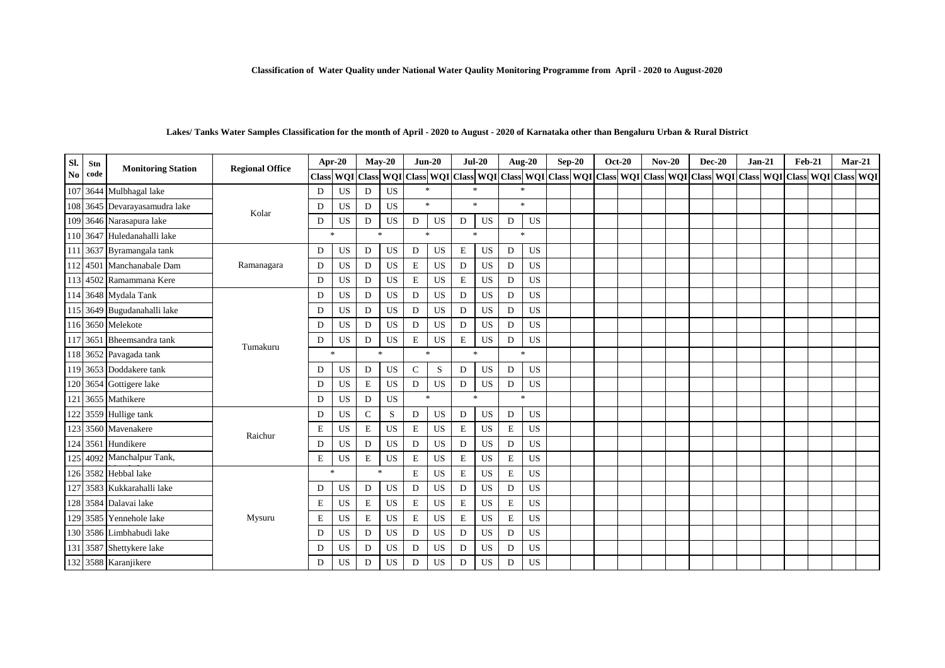#### **Lakes/ Tanks Water Samples Classification for the month of April - 2020 to August - 2020 of Karnataka other than Bengaluru Urban & Rural District**

| SI. | Stn  | <b>Monitoring Station</b>     | <b>Regional Office</b> | Apr-20        |           | $May-20$       |                | $Jun-20$      |           |             | $Jul-20$  |   | Aug-20        | $Sep-20$ | $Oct-20$ | $Nov-20$ | $Dec-20$ | $Jan-21$ | <b>Feb-21</b>                                                                                                                                                                                                     | $Mar-21$ |  |
|-----|------|-------------------------------|------------------------|---------------|-----------|----------------|----------------|---------------|-----------|-------------|-----------|---|---------------|----------|----------|----------|----------|----------|-------------------------------------------------------------------------------------------------------------------------------------------------------------------------------------------------------------------|----------|--|
| No  | code |                               |                        |               |           |                |                |               |           |             |           |   |               |          |          |          |          |          | Class WQI Class WQI Class WQI Class WQI Class WQI Class WQI Class WQI Class WQI Class WQI Class WQI Class WQI Class WQI Class WQI Class WQI Class WQI Class WQI Class WQI Class WQI Class WQI Class WQI Class WQI |          |  |
|     |      | 107 3644 Mulbhagal lake       |                        | D             | <b>US</b> | D              | <b>US</b>      | $\mathcal{R}$ |           | 金           |           |   | $\ast$        |          |          |          |          |          |                                                                                                                                                                                                                   |          |  |
|     |      | 108 3645 Devarayasamudra lake | Kolar                  | D             | <b>US</b> | D              | <b>US</b>      | $\mathcal{R}$ |           | 宋           |           |   | $*$           |          |          |          |          |          |                                                                                                                                                                                                                   |          |  |
|     |      | 109 3646 Narasapura lake      |                        | D             | US        | D              | US             | D             | US        | D           | <b>US</b> | D | US            |          |          |          |          |          |                                                                                                                                                                                                                   |          |  |
|     |      | 110 3647 Huledanahalli lake   |                        | $\ast$        |           | $\mathbf{g}_i$ |                | $\gg$         |           | $\ast$      |           |   | $\ast$        |          |          |          |          |          |                                                                                                                                                                                                                   |          |  |
|     |      | 111 3637 Byramangala tank     |                        | D             | US        | D              | <b>US</b>      | $\mathbf D$   | <b>US</b> | $\mathbf E$ | <b>US</b> | D | <b>US</b>     |          |          |          |          |          |                                                                                                                                                                                                                   |          |  |
|     |      | 112 4501 Manchanabale Dam     | Ramanagara             | D             | <b>US</b> | D              | <b>US</b>      | $\mathbf E$   | <b>US</b> | D           | <b>US</b> | D | <b>US</b>     |          |          |          |          |          |                                                                                                                                                                                                                   |          |  |
|     |      | 113 4502 Ramammana Kere       |                        | $\mathbf D$   | US        | $\mathbf D$    | <b>US</b>      | $\mathbf E$   | <b>US</b> | $\mathbf E$ | <b>US</b> | D | <b>US</b>     |          |          |          |          |          |                                                                                                                                                                                                                   |          |  |
|     |      | 114 3648 Mydala Tank          |                        | D             | <b>US</b> | D              | <b>US</b>      | D             | US        | D           | <b>US</b> | D | <b>US</b>     |          |          |          |          |          |                                                                                                                                                                                                                   |          |  |
|     |      | 115 3649 Bugudanahalli lake   |                        | D             | <b>US</b> | D              | US             | D             | <b>US</b> | D           | <b>US</b> | D | <b>US</b>     |          |          |          |          |          |                                                                                                                                                                                                                   |          |  |
|     |      | 116 3650 Melekote             |                        | D             | <b>US</b> | D              | US             | D             | <b>US</b> | D           | <b>US</b> | D | <b>US</b>     |          |          |          |          |          |                                                                                                                                                                                                                   |          |  |
|     |      | 117 3651 Bheemsandra tank     |                        | D             | US        | D              | <b>US</b>      | $\mathbf E$   | US        | $\mathbf E$ | US        | D | <b>US</b>     |          |          |          |          |          |                                                                                                                                                                                                                   |          |  |
|     |      | 118 3652 Pavagada tank        | Tumakuru               | $\frac{1}{2}$ |           |                | $\frac{1}{26}$ | $\mathbf{k}$  |           | $\ast$      |           |   | $\frac{1}{2}$ |          |          |          |          |          |                                                                                                                                                                                                                   |          |  |
|     |      | 119 3653 Doddakere tank       |                        | D             | US        | D              | US             | $\mathbf C$   | S         | D           | <b>US</b> | D | <b>US</b>     |          |          |          |          |          |                                                                                                                                                                                                                   |          |  |
|     |      | 120 3654 Gottigere lake       |                        | D             | <b>US</b> | $\mathbf E$    | <b>US</b>      | D             | <b>US</b> | D           | US        | D | US            |          |          |          |          |          |                                                                                                                                                                                                                   |          |  |
| 121 |      | 3655 Mathikere                |                        | D             | <b>US</b> | D              | <b>US</b>      | $\mathbf{k}$  |           | $\ast$      |           |   | $\ast$        |          |          |          |          |          |                                                                                                                                                                                                                   |          |  |
|     |      | 122 3559 Hullige tank         |                        | D             | US        | $\mathbf C$    | S              | D             | <b>US</b> | D           | <b>US</b> | D | <b>US</b>     |          |          |          |          |          |                                                                                                                                                                                                                   |          |  |
|     |      | 123 3560 Mavenakere           |                        | $\mathbf E$   | US        | $\mathbf E$    | <b>US</b>      | $\mathbf E$   | <b>US</b> | $\mathbf E$ | <b>US</b> | E | <b>US</b>     |          |          |          |          |          |                                                                                                                                                                                                                   |          |  |
|     |      | 124 3561 Hundikere            | Raichur                | D             | US        | D              | US             | D             | <b>US</b> | D           | <b>US</b> | D | <b>US</b>     |          |          |          |          |          |                                                                                                                                                                                                                   |          |  |
|     |      | 125 4092 Manchalpur Tank,     |                        | E             | <b>US</b> | E              | <b>US</b>      | $\mathbf E$   | <b>US</b> | E           | <b>US</b> | E | <b>US</b>     |          |          |          |          |          |                                                                                                                                                                                                                   |          |  |
|     |      | 126 3582 Hebbal lake          |                        | $\mathbf{k}$  |           | $\mathbf{g}_i$ |                | $\mathbf E$   | <b>US</b> | $\mathbf E$ | <b>US</b> | E | <b>US</b>     |          |          |          |          |          |                                                                                                                                                                                                                   |          |  |
|     |      | 127 3583 Kukkarahalli lake    |                        | D             | US        | D              | US             | D             | US        | D           | US        | D | <b>US</b>     |          |          |          |          |          |                                                                                                                                                                                                                   |          |  |
|     |      | 128 3584 Dalavai lake         |                        | $\mathbf E$   | <b>US</b> | $\mathbf E$    | <b>US</b>      | $\mathbf E$   | <b>US</b> | E           | <b>US</b> | E | <b>US</b>     |          |          |          |          |          |                                                                                                                                                                                                                   |          |  |
|     |      | 129 3585 Yennehole lake       | Mysuru                 | $\mathbf E$   | US        | $\mathbf E$    | <b>US</b>      | $\mathbf E$   | <b>US</b> | $\mathbf E$ | <b>US</b> | E | <b>US</b>     |          |          |          |          |          |                                                                                                                                                                                                                   |          |  |
|     |      | 130 3586 Limbhabudi lake      |                        | D             | US        | D              | US             | D             | US        | D           | US        | D | <b>US</b>     |          |          |          |          |          |                                                                                                                                                                                                                   |          |  |
|     |      | 131 3587 Shettykere lake      |                        | D             | <b>US</b> | D              | <b>US</b>      | $\mathbf D$   | <b>US</b> | D           | <b>US</b> | D | <b>US</b>     |          |          |          |          |          |                                                                                                                                                                                                                   |          |  |
|     |      | 132 3588 Karanjikere          |                        | D             | US        | D              | US             | D             | <b>US</b> | D           | US        | D | <b>US</b>     |          |          |          |          |          |                                                                                                                                                                                                                   |          |  |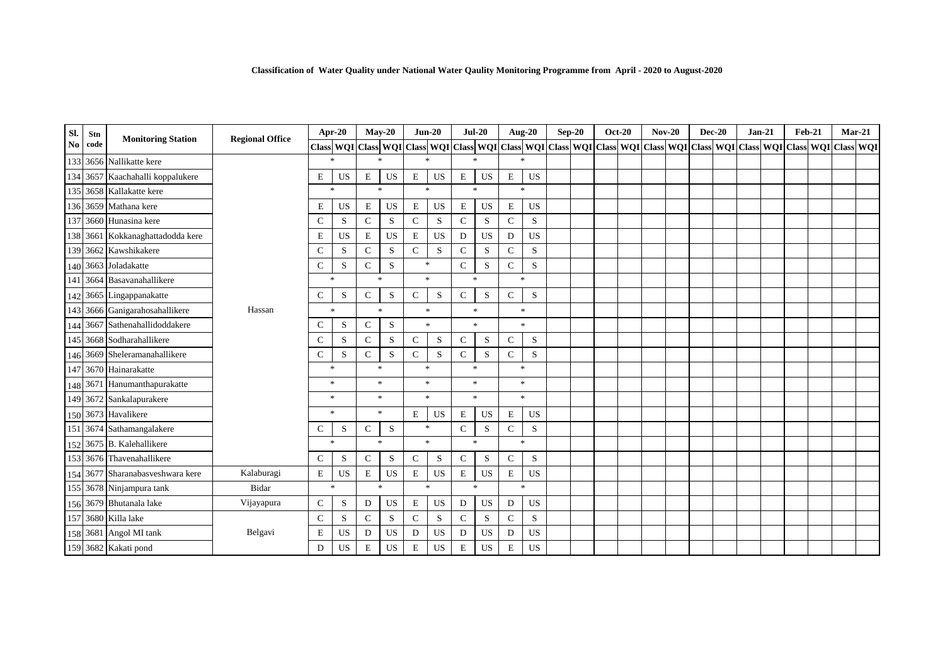| Sl.            | Stn      | <b>Monitoring Station</b>        | <b>Regional Office</b> |              | Apr-20       |                | $Mav-20$       |                                   | $Jun-20$  | $Jul-20$      |           |              | <b>Aug-20</b> | $Sep-20$ | <b>Oct-20</b> |  | $Nov-20$                                                                                                                                                                                                                      | $Dec-20$ | $Jan-21$ | <b>Feb-21</b> | $Mar-21$ |  |
|----------------|----------|----------------------------------|------------------------|--------------|--------------|----------------|----------------|-----------------------------------|-----------|---------------|-----------|--------------|---------------|----------|---------------|--|-------------------------------------------------------------------------------------------------------------------------------------------------------------------------------------------------------------------------------|----------|----------|---------------|----------|--|
| N <sub>0</sub> | code     |                                  |                        |              |              |                |                |                                   |           |               |           |              |               |          |               |  | Class   WQI   Class   WQI   Class   WQI   Class   WQI   Class   WQI   Class   WQI   Class   WQI   Class   WQI   Class   WQI   Class   WQI   Class   WQI   Class   WQI   Class   WQI   Class   WQI   Class   WQI   Class   WQI |          |          |               |          |  |
|                |          | 133 3656 Nallikatte kere         |                        |              | $\ast$       | $\ast$         |                | $\frac{1}{2}$                     |           | $\mathcal{R}$ |           |              | $\ast$        |          |               |  |                                                                                                                                                                                                                               |          |          |               |          |  |
|                |          | 134 3657 Kaachahalli koppalukere |                        | E            | US           | E              | <b>US</b>      | $\mathbf E$                       | US        | $\mathbf E$   | US        | $\mathbf E$  | <b>US</b>     |          |               |  |                                                                                                                                                                                                                               |          |          |               |          |  |
|                |          | 135 3658 Kallakatte kere         |                        |              | $*$          | $\ast$         |                | $\mathbf{g}_i$                    |           | $\gg$         |           |              | $\star$       |          |               |  |                                                                                                                                                                                                                               |          |          |               |          |  |
|                |          | 136 3659 Mathana kere            |                        | Ε            | <b>US</b>    | E              | <b>US</b>      | $\mathbf E$                       | US        | $\mathbf E$   | US        | E            | <b>US</b>     |          |               |  |                                                                                                                                                                                                                               |          |          |               |          |  |
|                |          | 137 3660 Hunasina kere           |                        | $\mathbf C$  | S            | $\mathsf{C}$   | S              | $\mathbf C$                       | S         | $\mathsf{C}$  | S         | $\mathsf{C}$ | S             |          |               |  |                                                                                                                                                                                                                               |          |          |               |          |  |
|                |          | 138 3661 Kokkanaghattadodda kere |                        | E            | <b>US</b>    | E              | <b>US</b>      | E                                 | US        | D             | US        | D            | <b>US</b>     |          |               |  |                                                                                                                                                                                                                               |          |          |               |          |  |
|                |          | 139 3662 Kawshikakere            |                        | $\mathbf C$  | S            | $\mathsf{C}$   | S              | $\mathbf C$                       | ${\bf S}$ | $\mathsf{C}$  | S         | $\mathsf{C}$ | S             |          |               |  |                                                                                                                                                                                                                               |          |          |               |          |  |
|                |          | 140 3663 Joladakatte             |                        | $\mathsf{C}$ | S            | $\mathcal{C}$  | S              | $\ast$                            |           | $\mathsf C$   | S         | C            | S             |          |               |  |                                                                                                                                                                                                                               |          |          |               |          |  |
|                |          | 141 3664 Basavanahallikere       |                        |              | $\ast$       |                | $\mathbf{g}_i$ |                                   | $\pm$     | $\pm$         |           |              | $*$           |          |               |  |                                                                                                                                                                                                                               |          |          |               |          |  |
|                |          | 142 3665 Lingappanakatte         |                        | $\mathsf{C}$ | S            | $\mathbf C$    | S              | $\mathbf C$                       | S         | $\mathsf C$   | ${\bf S}$ | $\mathbf{C}$ | S             |          |               |  |                                                                                                                                                                                                                               |          |          |               |          |  |
|                |          | 143 3666 Ganigarahosahallikere   | Hassan                 |              | $\ast$       | $\frac{1}{2}$  |                |                                   | $\ast$    | $\ast$        |           |              | $\frac{1}{2}$ |          |               |  |                                                                                                                                                                                                                               |          |          |               |          |  |
|                | 144 3667 | Sathenahallidoddakere            |                        | $\mathbf C$  | S            | $\mathsf{C}$   | S              |                                   | $\ast$    | $\ast$        |           |              | $\pm$         |          |               |  |                                                                                                                                                                                                                               |          |          |               |          |  |
|                |          | 145 3668 Sodharahallikere        |                        | C            | S            | $\mathcal{C}$  | S              | $\mathsf{C}$                      | S         | C             | S         | C            | S             |          |               |  |                                                                                                                                                                                                                               |          |          |               |          |  |
|                |          | 146 3669 Sheleramanahallikere    |                        | $\mathbf C$  | S            | $\mathbf C$    | S              | $\mathbf{C}$                      | S         | $\mathsf{C}$  | S         | $\mathbf C$  | S             |          |               |  |                                                                                                                                                                                                                               |          |          |               |          |  |
| 147            |          | 3670 Hainarakatte                |                        | $\ast$       |              | $\mathbf{g}_i$ |                | $\mathbf{g}_i$                    |           | $\mathcal{R}$ |           |              | $\ast$        |          |               |  |                                                                                                                                                                                                                               |          |          |               |          |  |
|                |          | 148 3671 Hanumanthapurakatte     |                        |              | $\ast$       |                | $\pm$          |                                   | $\pm$     | $\pm$         |           |              | $*$           |          |               |  |                                                                                                                                                                                                                               |          |          |               |          |  |
|                |          | 149 3672 Sankalapurakere         |                        |              | $\ast$       | $\ast$         |                | $\mathbf{g}_i$                    |           | $\mathcal{R}$ |           |              | $\ast$        |          |               |  |                                                                                                                                                                                                                               |          |          |               |          |  |
|                |          | 150 3673 Havalikere              |                        |              | $\ast$       |                | $\ast$         | E                                 | <b>US</b> | $\mathbf E$   | <b>US</b> | $\mathbf E$  | <b>US</b>     |          |               |  |                                                                                                                                                                                                                               |          |          |               |          |  |
|                |          | 151 3674 Sathamangalakere        |                        | $\mathsf{C}$ | S            | $\mathbf C$    | ${\bf S}$      |                                   | $\ast$    | $\mathsf C$   | ${\bf S}$ | $\mathbf C$  | S             |          |               |  |                                                                                                                                                                                                                               |          |          |               |          |  |
|                |          | 152 3675 B. Kalehallikere        |                        |              | $\ast$       | $\frac{1}{2}$  |                | $\frac{d\mathbf{x}}{d\mathbf{x}}$ |           | $\pm$         |           |              | $\ast$        |          |               |  |                                                                                                                                                                                                                               |          |          |               |          |  |
|                |          | 153 3676 Thavenahallikere        |                        | $\mathsf{C}$ | S            | $\mathcal{C}$  | S              | $\mathbf C$                       | S         | $\mathsf{C}$  | S         | $\mathsf{C}$ | ${\bf S}$     |          |               |  |                                                                                                                                                                                                                               |          |          |               |          |  |
|                |          | 154 3677 Sharanabasveshwara kere | Kalaburagi             | $\mathbf E$  | <b>US</b>    | $\mathbf E$    | <b>US</b>      | ${\bf E}$                         | <b>US</b> | $\mathbf E$   | US        | $\mathbf E$  | <b>US</b>     |          |               |  |                                                                                                                                                                                                                               |          |          |               |          |  |
|                |          | 155 3678 Ninjampura tank         | Bidar                  |              | $\mathbf{k}$ |                | $\mathbf{k}$   | $\ast$                            |           | $\ast$        |           |              | $\frac{1}{2}$ |          |               |  |                                                                                                                                                                                                                               |          |          |               |          |  |
|                |          | 156 3679 Bhutanala lake          | Vijayapura             | $\mathbf C$  | $\mathbf S$  | D              | <b>US</b>      | $\mathbf E$                       | US        | $\mathbf D$   | <b>US</b> | D            | <b>US</b>     |          |               |  |                                                                                                                                                                                                                               |          |          |               |          |  |
|                |          | 157 3680 Killa lake              |                        | $\mathbf C$  | S            | $\mathsf{C}$   | S              | $\mathbf C$                       | S         | $\mathsf{C}$  | S         | $\mathbf C$  | S             |          |               |  |                                                                                                                                                                                                                               |          |          |               |          |  |
|                |          | 158 3681 Angol MI tank           | Belgavi                | $\mathbf E$  | <b>US</b>    | D              | US             | D                                 | US        | D             | US        | D            | US            |          |               |  |                                                                                                                                                                                                                               |          |          |               |          |  |
|                |          | 159 3682 Kakati pond             |                        | D            | <b>US</b>    | E              | <b>US</b>      | $\mathbf E$                       | <b>US</b> | $\mathbf E$   | US        | E            | <b>US</b>     |          |               |  |                                                                                                                                                                                                                               |          |          |               |          |  |